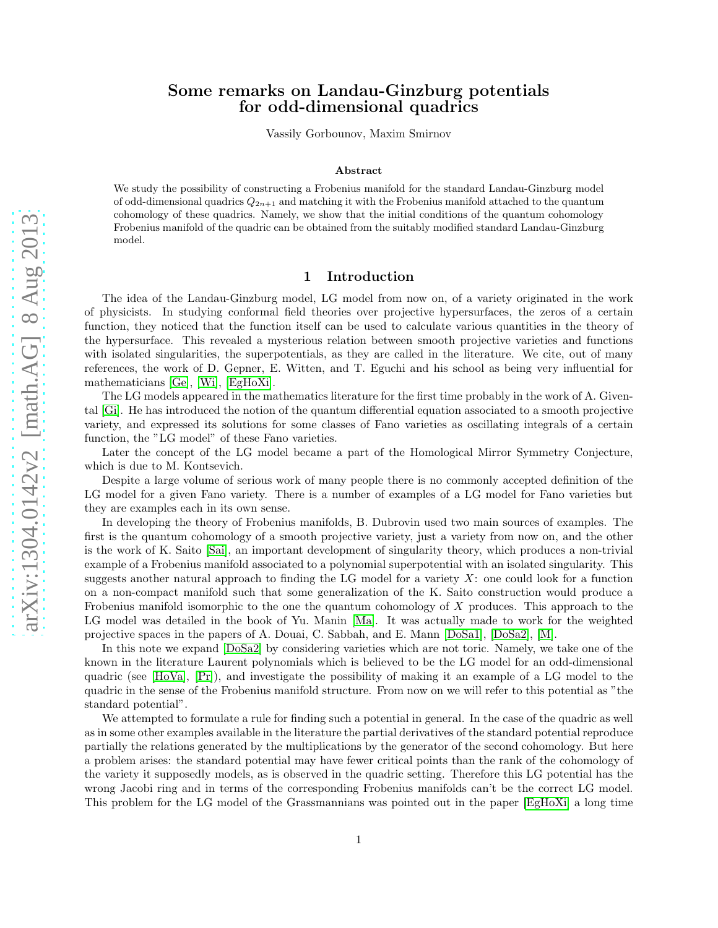## Some remarks on Landau-Ginzburg potentials for odd-dimensional quadrics

Vassily Gorbounov, Maxim Smirnov

#### Abstract

We study the possibility of constructing a Frobenius manifold for the standard Landau-Ginzburg model of odd-dimensional quadrics  $Q_{2n+1}$  and matching it with the Frobenius manifold attached to the quantum cohomology of these quadrics. Namely, we show that the initial conditions of the quantum cohomology Frobenius manifold of the quadric can be obtained from the suitably modified standard Landau-Ginzburg model.

#### 1 Introduction

The idea of the Landau-Ginzburg model, LG model from now on, of a variety originated in the work of physicists. In studying conformal field theories over projective hypersurfaces, the zeros of a certain function, they noticed that the function itself can be used to calculate various quantities in the theory of the hypersurface. This revealed a mysterious relation between smooth projective varieties and functions with isolated singularities, the superpotentials, as they are called in the literature. We cite, out of many references, the work of D. Gepner, E. Witten, and T. Eguchi and his school as being very influential for mathematicians [\[Ge\]](#page-21-0), [\[Wi\]](#page-22-0), [\[EgHoXi\]](#page-21-1).

The LG models appeared in the mathematics literature for the first time probably in the work of A. Givental [\[Gi\]](#page-21-2). He has introduced the notion of the quantum differential equation associated to a smooth projective variety, and expressed its solutions for some classes of Fano varieties as oscillating integrals of a certain function, the "LG model" of these Fano varieties.

Later the concept of the LG model became a part of the Homological Mirror Symmetry Conjecture, which is due to M. Kontsevich.

Despite a large volume of serious work of many people there is no commonly accepted definition of the LG model for a given Fano variety. There is a number of examples of a LG model for Fano varieties but they are examples each in its own sense.

In developing the theory of Frobenius manifolds, B. Dubrovin used two main sources of examples. The first is the quantum cohomology of a smooth projective variety, just a variety from now on, and the other is the work of K. Saito [\[Sai\]](#page-21-3), an important development of singularity theory, which produces a non-trivial example of a Frobenius manifold associated to a polynomial superpotential with an isolated singularity. This suggests another natural approach to finding the LG model for a variety  $X$ : one could look for a function on a non-compact manifold such that some generalization of the K. Saito construction would produce a Frobenius manifold isomorphic to the one the quantum cohomology of X produces. This approach to the LG model was detailed in the book of Yu. Manin [\[Ma\]](#page-21-4). It was actually made to work for the weighted projective spaces in the papers of A. Douai, C. Sabbah, and E. Mann [\[DoSa1\]](#page-21-5), [\[DoSa2\]](#page-21-6), [\[M\]](#page-21-7).

In this note we expand [\[DoSa2\]](#page-21-6) by considering varieties which are not toric. Namely, we take one of the known in the literature Laurent polynomials which is believed to be the LG model for an odd-dimensional quadric (see [\[HoVa\]](#page-21-8), [\[Pr\]](#page-21-9)), and investigate the possibility of making it an example of a LG model to the quadric in the sense of the Frobenius manifold structure. From now on we will refer to this potential as "the standard potential".

We attempted to formulate a rule for finding such a potential in general. In the case of the quadric as well as in some other examples available in the literature the partial derivatives of the standard potential reproduce partially the relations generated by the multiplications by the generator of the second cohomology. But here a problem arises: the standard potential may have fewer critical points than the rank of the cohomology of the variety it supposedly models, as is observed in the quadric setting. Therefore this LG potential has the wrong Jacobi ring and in terms of the corresponding Frobenius manifolds can't be the correct LG model. This problem for the LG model of the Grassmannians was pointed out in the paper [\[EgHoXi\]](#page-21-1) a long time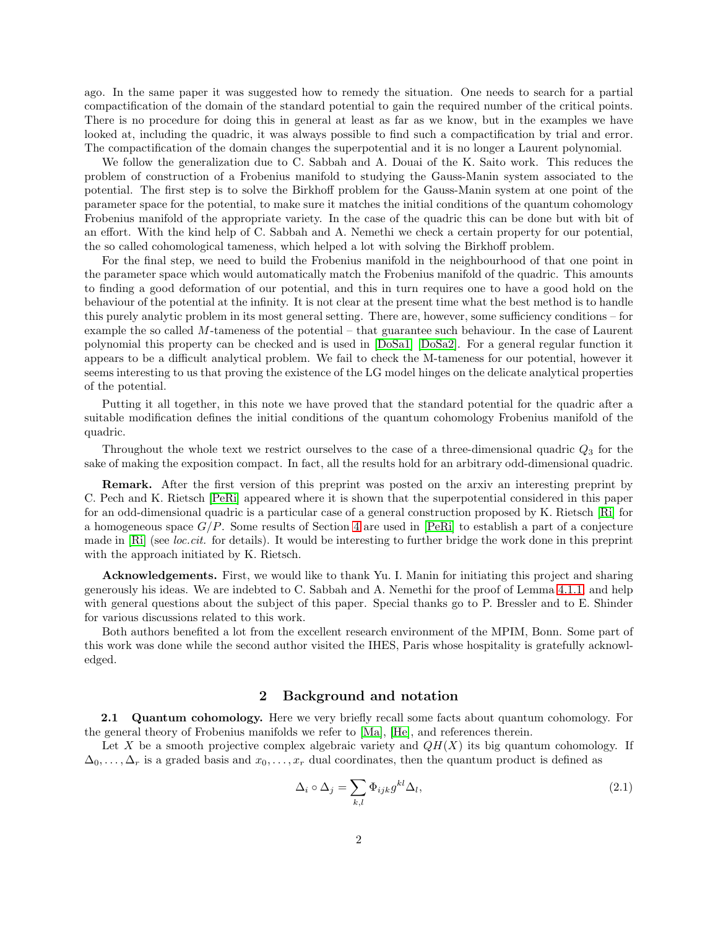ago. In the same paper it was suggested how to remedy the situation. One needs to search for a partial compactification of the domain of the standard potential to gain the required number of the critical points. There is no procedure for doing this in general at least as far as we know, but in the examples we have looked at, including the quadric, it was always possible to find such a compactification by trial and error. The compactification of the domain changes the superpotential and it is no longer a Laurent polynomial.

We follow the generalization due to C. Sabbah and A. Douai of the K. Saito work. This reduces the problem of construction of a Frobenius manifold to studying the Gauss-Manin system associated to the potential. The first step is to solve the Birkhoff problem for the Gauss-Manin system at one point of the parameter space for the potential, to make sure it matches the initial conditions of the quantum cohomology Frobenius manifold of the appropriate variety. In the case of the quadric this can be done but with bit of an effort. With the kind help of C. Sabbah and A. Nemethi we check a certain property for our potential, the so called cohomological tameness, which helped a lot with solving the Birkhoff problem.

For the final step, we need to build the Frobenius manifold in the neighbourhood of that one point in the parameter space which would automatically match the Frobenius manifold of the quadric. This amounts to finding a good deformation of our potential, and this in turn requires one to have a good hold on the behaviour of the potential at the infinity. It is not clear at the present time what the best method is to handle this purely analytic problem in its most general setting. There are, however, some sufficiency conditions – for example the so called M-tameness of the potential – that guarantee such behaviour. In the case of Laurent polynomial this property can be checked and is used in [\[DoSa1\]](#page-21-5) [\[DoSa2\]](#page-21-6). For a general regular function it appears to be a difficult analytical problem. We fail to check the M-tameness for our potential, however it seems interesting to us that proving the existence of the LG model hinges on the delicate analytical properties of the potential.

Putting it all together, in this note we have proved that the standard potential for the quadric after a suitable modification defines the initial conditions of the quantum cohomology Frobenius manifold of the quadric.

Throughout the whole text we restrict ourselves to the case of a three-dimensional quadric  $Q_3$  for the sake of making the exposition compact. In fact, all the results hold for an arbitrary odd-dimensional quadric.

Remark. After the first version of this preprint was posted on the arxiv an interesting preprint by C. Pech and K. Rietsch [\[PeRi\]](#page-21-10) appeared where it is shown that the superpotential considered in this paper for an odd-dimensional quadric is a particular case of a general construction proposed by K. Rietsch [\[Ri\]](#page-21-11) for a homogeneous space  $G/P$ . Some results of Section [4](#page-8-0) are used in [\[PeRi\]](#page-21-10) to establish a part of a conjecture made in [\[Ri\]](#page-21-11) (see *loc.cit.* for details). It would be interesting to further bridge the work done in this preprint with the approach initiated by K. Rietsch.

Acknowledgements. First, we would like to thank Yu. I. Manin for initiating this project and sharing generously his ideas. We are indebted to C. Sabbah and A. Nemethi for the proof of Lemma [4.1.1,](#page-8-1) and help with general questions about the subject of this paper. Special thanks go to P. Bressler and to E. Shinder for various discussions related to this work.

Both authors benefited a lot from the excellent research environment of the MPIM, Bonn. Some part of this work was done while the second author visited the IHES, Paris whose hospitality is gratefully acknowledged.

### 2 Background and notation

2.1 Quantum cohomology. Here we very briefly recall some facts about quantum cohomology. For the general theory of Frobenius manifolds we refer to [\[Ma\]](#page-21-4), [\[He\]](#page-21-12), and references therein.

Let X be a smooth projective complex algebraic variety and  $QH(X)$  its big quantum cohomology. If  $\Delta_0, \ldots, \Delta_r$  is a graded basis and  $x_0, \ldots, x_r$  dual coordinates, then the quantum product is defined as

$$
\Delta_i \circ \Delta_j = \sum_{k,l} \Phi_{ijk} g^{kl} \Delta_l,
$$
\n(2.1)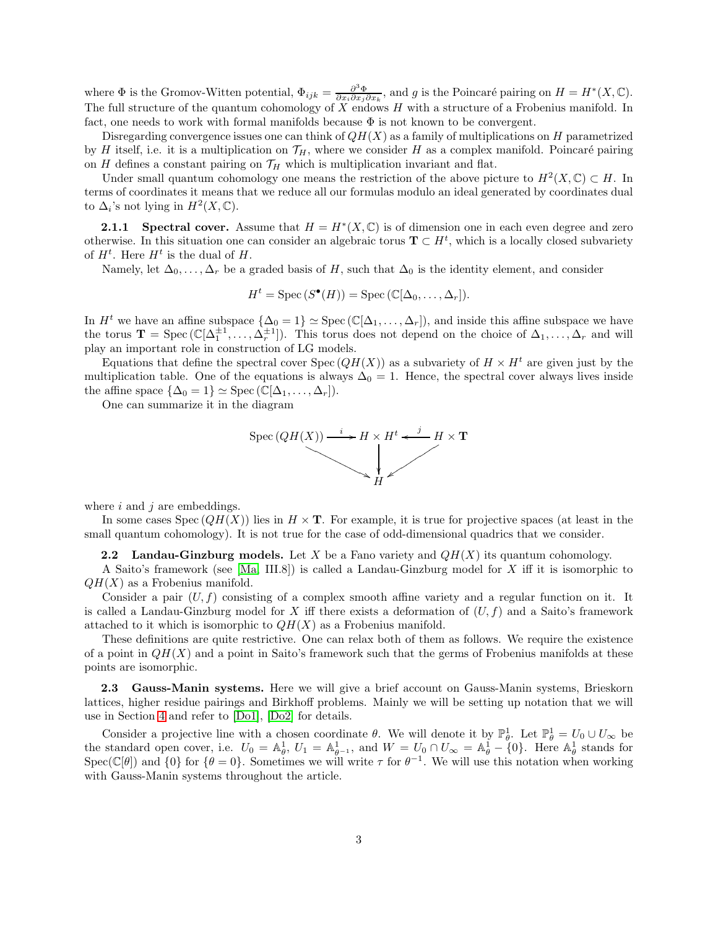where  $\Phi$  is the Gromov-Witten potential,  $\Phi_{ijk} = \frac{\partial^3 \Phi}{\partial x_i \partial x_j \partial x_k}$ , and g is the Poincaré pairing on  $H = H^*(X, \mathbb{C})$ . The full structure of the quantum cohomology of  $X$  endows  $H$  with a structure of a Frobenius manifold. In fact, one needs to work with formal manifolds because  $\Phi$  is not known to be convergent.

Disregarding convergence issues one can think of  $QH(X)$  as a family of multiplications on H parametrized by H itself, i.e. it is a multiplication on  $\mathcal{T}_H$ , where we consider H as a complex manifold. Poincaré pairing on H defines a constant pairing on  $\mathcal{T}_H$  which is multiplication invariant and flat.

Under small quantum cohomology one means the restriction of the above picture to  $H^2(X,\mathbb{C}) \subset H$ . In terms of coordinates it means that we reduce all our formulas modulo an ideal generated by coordinates dual to  $\Delta_i$ 's not lying in  $H^2(X,\mathbb{C})$ .

<span id="page-2-1"></span>**2.1.1** Spectral cover. Assume that  $H = H^*(X, \mathbb{C})$  is of dimension one in each even degree and zero otherwise. In this situation one can consider an algebraic torus  $\mathbf{T} \subset H^t$ , which is a locally closed subvariety of  $H^t$ . Here  $H^t$  is the dual of H.

Namely, let  $\Delta_0, \ldots, \Delta_r$  be a graded basis of H, such that  $\Delta_0$  is the identity element, and consider

$$
H^t = \operatorname{Spec} (S^{\bullet}(H)) = \operatorname{Spec} (\mathbb{C}[\Delta_0, \dots, \Delta_r]).
$$

In  $H^t$  we have an affine subspace  $\{\Delta_0 = 1\} \simeq \text{Spec} (\mathbb{C}[\Delta_1, \ldots, \Delta_r])$ , and inside this affine subspace we have the torus  $\mathbf{T} = \text{Spec}(\mathbb{C}[\Delta_1^{\pm 1}, \ldots, \Delta_r^{\pm 1}]).$  This torus does not depend on the choice of  $\Delta_1, \ldots, \Delta_r$  and will play an important role in construction of LG models.

Equations that define the spectral cover Spec  $(QH(X))$  as a subvariety of  $H \times H^t$  are given just by the multiplication table. One of the equations is always  $\Delta_0 = 1$ . Hence, the spectral cover always lives inside the affine space  $\{\Delta_0 = 1\} \simeq \text{Spec } (\mathbb{C}[\Delta_1, \ldots, \Delta_r]).$ 

One can summarize it in the diagram



where  $i$  and  $j$  are embeddings.

In some cases  $Spec(QH(X))$  lies in  $H \times T$ . For example, it is true for projective spaces (at least in the small quantum cohomology). It is not true for the case of odd-dimensional quadrics that we consider.

<span id="page-2-0"></span>**2.2** Landau-Ginzburg models. Let X be a Fano variety and  $QH(X)$  its quantum cohomology.

A Saito's framework (see [\[Ma,](#page-21-4) III.8]) is called a Landau-Ginzburg model for X iff it is isomorphic to  $QH(X)$  as a Frobenius manifold.

Consider a pair  $(U, f)$  consisting of a complex smooth affine variety and a regular function on it. It is called a Landau-Ginzburg model for X iff there exists a deformation of  $(U, f)$  and a Saito's framework attached to it which is isomorphic to  $QH(X)$  as a Frobenius manifold.

These definitions are quite restrictive. One can relax both of them as follows. We require the existence of a point in  $QH(X)$  and a point in Saito's framework such that the germs of Frobenius manifolds at these points are isomorphic.

<span id="page-2-2"></span>2.3 Gauss-Manin systems. Here we will give a brief account on Gauss-Manin systems, Brieskorn lattices, higher residue pairings and Birkhoff problems. Mainly we will be setting up notation that we will use in Section [4](#page-8-0) and refer to [\[Do1\]](#page-20-0), [\[Do2\]](#page-20-1) for details.

Consider a projective line with a chosen coordinate  $\theta$ . We will denote it by  $\mathbb{P}^1_{\theta}$ . Let  $\mathbb{P}^1_{\theta} = U_0 \cup U_{\infty}$  be the standard open cover, i.e.  $U_0 = \mathbb{A}_{\theta}^1$ ,  $U_1 = \mathbb{A}_{\theta^{-1}}^1$ , and  $W = U_0 \cap U_{\infty} = \mathbb{A}_{\theta}^1 - \{0\}$ . Here  $\mathbb{A}_{\theta}^1$  stands for Spec( $\mathbb{C}[\theta]$ ) and  $\{0\}$  for  $\{\theta = 0\}$ . Sometimes we will write  $\tau$  for  $\theta^{-1}$ . We will use this notation when working with Gauss-Manin systems throughout the article.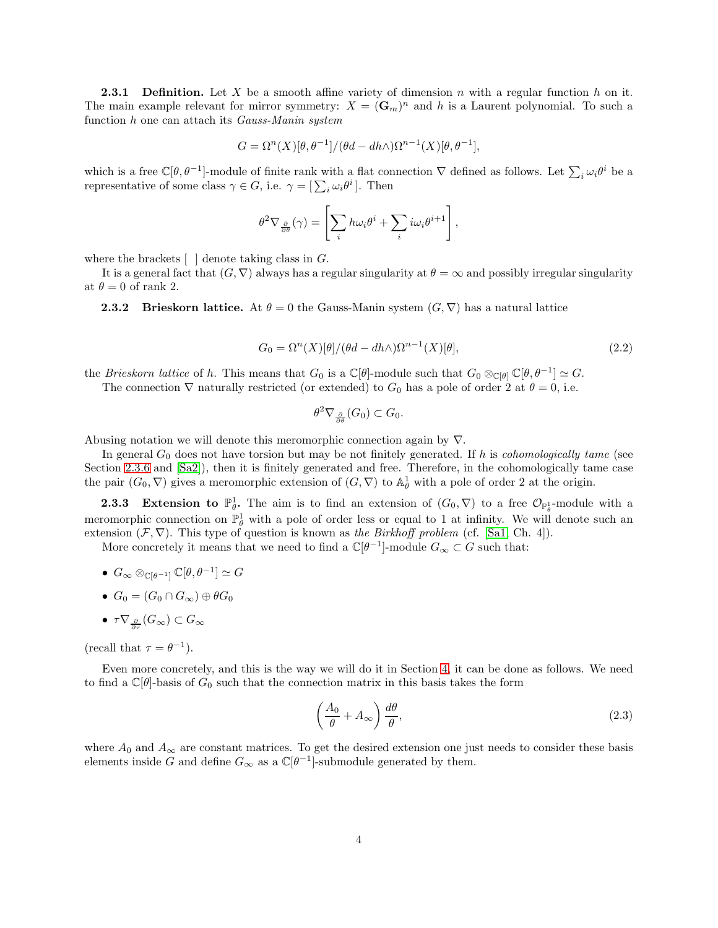**2.3.1 Definition.** Let X be a smooth affine variety of dimension n with a regular function h on it. The main example relevant for mirror symmetry:  $X = (\mathbf{G}_m)^n$  and h is a Laurent polynomial. To such a function h one can attach its Gauss-Manin system

$$
G = \Omega^{n}(X)[\theta, \theta^{-1}]/(\theta d - dh \wedge) \Omega^{n-1}(X)[\theta, \theta^{-1}],
$$

which is a free  $\mathbb{C}[\theta,\theta^{-1}]$ -module of finite rank with a flat connection  $\nabla$  defined as follows. Let  $\sum_i \omega_i \theta^i$  be a representative of some class  $\gamma \in G$ , i.e.  $\gamma = [\sum_i \omega_i \theta^i]$ . Then

$$
\theta^2 \nabla_{\frac{\partial}{\partial \theta}}(\gamma) = \left[ \sum_i h \omega_i \theta^i + \sum_i i \omega_i \theta^{i+1} \right],
$$

where the brackets  $\lceil \cdot \rceil$  denote taking class in G.

It is a general fact that  $(G, \nabla)$  always has a regular singularity at  $\theta = \infty$  and possibly irregular singularity at  $\theta = 0$  of rank 2.

**2.3.2** Brieskorn lattice. At  $\theta = 0$  the Gauss-Manin system  $(G, \nabla)$  has a natural lattice

$$
G_0 = \Omega^n(X)[\theta]/(\theta d - dh \wedge)\Omega^{n-1}(X)[\theta],\tag{2.2}
$$

the *Brieskorn lattice* of h. This means that  $G_0$  is a  $\mathbb{C}[\theta]$ -module such that  $G_0 \otimes_{\mathbb{C}[\theta]} \mathbb{C}[\theta, \theta^{-1}] \simeq G$ .

The connection  $\nabla$  naturally restricted (or extended) to  $G_0$  has a pole of order 2 at  $\theta = 0$ , i.e.

$$
\theta^2 \nabla_{\frac{\partial}{\partial \theta}}(G_0) \subset G_0.
$$

Abusing notation we will denote this meromorphic connection again by ∇.

In general  $G_0$  does not have torsion but may be not finitely generated. If h is *cohomologically tame* (see Section [2.3.6](#page-5-0) and [\[Sa2\]](#page-21-13)), then it is finitely generated and free. Therefore, in the cohomologically tame case the pair  $(G_0, \nabla)$  gives a meromorphic extension of  $(G, \nabla)$  to  $\mathbb{A}_{\theta}^1$  with a pole of order 2 at the origin.

<span id="page-3-0"></span>**2.3.3** Extension to  $\mathbb{P}_{\theta}^1$ . The aim is to find an extension of  $(G_0, \nabla)$  to a free  $\mathcal{O}_{\mathbb{P}_{\theta}^1}$ -module with a meromorphic connection on  $\mathbb{P}^1_\theta$  with a pole of order less or equal to 1 at infinity. We will denote such an extension  $(\mathcal{F}, \nabla)$ . This type of question is known as the Birkhoff problem (cf. [\[Sa1,](#page-21-14) Ch. 4]).

More concretely it means that we need to find a  $\mathbb{C}[\theta^{-1}]$ -module  $G_{\infty} \subset G$  such that:

- $\bullet \ \ G_{\infty} \otimes_{\mathbb{C}[\theta^{-1}]} \mathbb{C}[\theta, \theta^{-1}] \simeq G$
- $G_0 = (G_0 \cap G_{\infty}) \oplus \theta G_0$
- $\bullet\ \tau\nabla_{\frac{\partial}{\partial \tau}}(G_{\infty})\subset G_{\infty}$

(recall that  $\tau = \theta^{-1}$ ).

Even more concretely, and this is the way we will do it in Section [4,](#page-8-0) it can be done as follows. We need to find a  $\mathbb{C}[\theta]$ -basis of  $G_0$  such that the connection matrix in this basis takes the form

$$
\left(\frac{A_0}{\theta} + A_{\infty}\right) \frac{d\theta}{\theta},\tag{2.3}
$$

where  $A_0$  and  $A_{\infty}$  are constant matrices. To get the desired extension one just needs to consider these basis elements inside G and define  $G_{\infty}$  as a  $\mathbb{C}[\theta^{-1}]$ -submodule generated by them.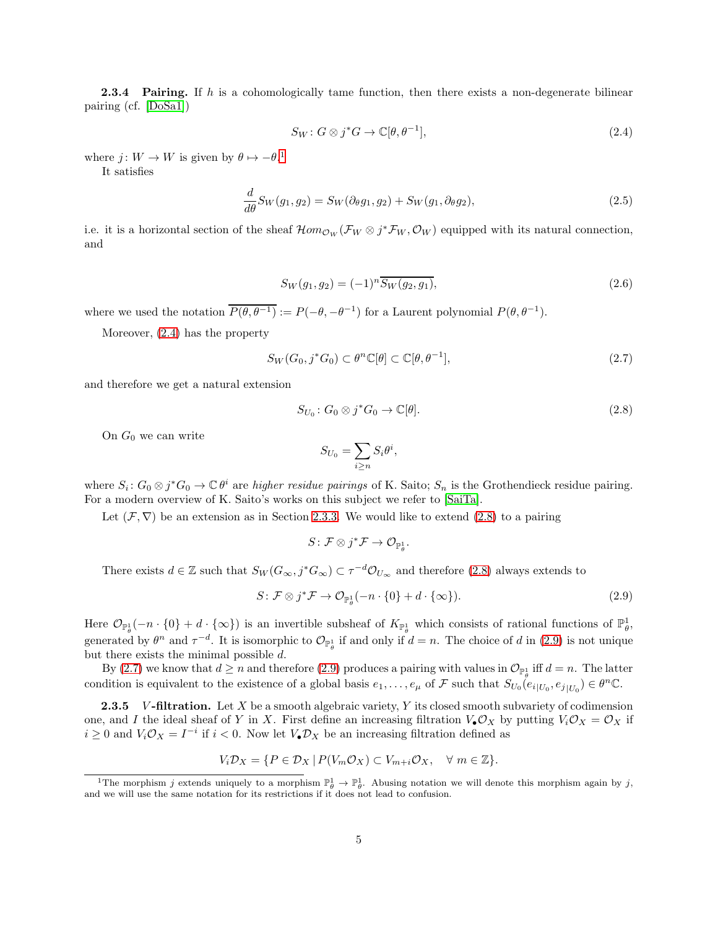**2.3.4 Pairing.** If h is a cohomologically tame function, then there exists a non-degenerate bilinear pairing (cf. [\[DoSa1\]](#page-21-5))

<span id="page-4-6"></span><span id="page-4-1"></span>
$$
S_W: G \otimes j^*G \to \mathbb{C}[\theta, \theta^{-1}], \tag{2.4}
$$

where  $j: W \to W$  is given by  $\theta \mapsto -\theta$ .<sup>[1](#page-4-0)</sup>

It satisfies

$$
\frac{d}{d\theta}S_W(g_1, g_2) = S_W(\partial_\theta g_1, g_2) + S_W(g_1, \partial_\theta g_2),\tag{2.5}
$$

i.e. it is a horizontal section of the sheaf  $\mathcal{H}om_{\mathcal{O}_W}(\mathcal{F}_W \otimes j^*\mathcal{F}_W,\mathcal{O}_W)$  equipped with its natural connection, and

<span id="page-4-7"></span>
$$
S_W(g_1, g_2) = (-1)^n \overline{S_W(g_2, g_1)},
$$
\n(2.6)

where we used the notation  $\overline{P(\theta, \theta^{-1})} := P(-\theta, -\theta^{-1})$  for a Laurent polynomial  $P(\theta, \theta^{-1})$ .

Moreover, [\(2.4\)](#page-4-1) has the property

$$
S_W(G_0, j^*G_0) \subset \theta^n \mathbb{C}[\theta] \subset \mathbb{C}[\theta, \theta^{-1}], \tag{2.7}
$$

and therefore we get a natural extension

$$
S_{U_0}: G_0 \otimes j^* G_0 \to \mathbb{C}[\theta]. \tag{2.8}
$$

On  $G_0$  we can write

<span id="page-4-4"></span><span id="page-4-2"></span>
$$
S_{U_0} = \sum_{i \ge n} S_i \theta^i,
$$

where  $S_i: G_0 \otimes j^*G_0 \to \mathbb{C} \theta^i$  are *higher residue pairings* of K. Saito;  $S_n$  is the Grothendieck residue pairing. For a modern overview of K. Saito's works on this subject we refer to [\[SaiTa\]](#page-22-1).

Let  $(\mathcal{F}, \nabla)$  be an extension as in Section [2.3.3.](#page-3-0) We would like to extend [\(2.8\)](#page-4-2) to a pairing

<span id="page-4-3"></span>
$$
S\colon \mathcal{F}\otimes j^*\mathcal{F}\to \mathcal{O}_{\mathbb{P}_{\theta}^1}.
$$

There exists  $d \in \mathbb{Z}$  such that  $S_W(G_\infty, j^*G_\infty) \subset \tau^{-d} \mathcal{O}_{U_\infty}$  and therefore [\(2.8\)](#page-4-2) always extends to

$$
S: \mathcal{F} \otimes j^* \mathcal{F} \to \mathcal{O}_{\mathbb{P}_{\theta}^1}(-n \cdot \{0\} + d \cdot \{\infty\}). \tag{2.9}
$$

Here  $\mathcal{O}_{\mathbb{P}_{\theta}^{1}}(-n \cdot \{0\} + d \cdot \{\infty\})$  is an invertible subsheaf of  $K_{\mathbb{P}_{\theta}^{1}}$  which consists of rational functions of  $\mathbb{P}_{\theta}^{1}$ , generated by  $\theta^n$  and  $\tau^{-d}$ . It is isomorphic to  $\mathcal{O}_{\mathbb{P}^1_\theta}$  if and only if  $d = n$ . The choice of d in [\(2.9\)](#page-4-3) is not unique but there exists the minimal possible d.

By [\(2.7\)](#page-4-4) we know that  $d \ge n$  and therefore [\(2.9\)](#page-4-3) produces a pairing with values in  $\mathcal{O}_{\mathbb{P}_{\theta}^1}$  iff  $d = n$ . The latter condition is equivalent to the existence of a global basis  $e_1, \ldots, e_\mu$  of F such that  $S_{U_0}(e_{i|U_0}, e_{j|U_0}) \in \theta^n \mathbb{C}$ .

<span id="page-4-5"></span>**2.3.5** V-filtration. Let X be a smooth algebraic variety, Y its closed smooth subvariety of codimension one, and I the ideal sheaf of Y in X. First define an increasing filtration  $V_{\bullet}\mathcal{O}_X$  by putting  $V_i\mathcal{O}_X = \mathcal{O}_X$  if  $i \geq 0$  and  $V_i \mathcal{O}_X = I^{-i}$  if  $i < 0$ . Now let  $V_{\bullet} \mathcal{D}_X$  be an increasing filtration defined as

$$
V_i \mathcal{D}_X = \{ P \in \mathcal{D}_X \mid P(V_m \mathcal{O}_X) \subset V_{m+i} \mathcal{O}_X, \quad \forall \ m \in \mathbb{Z} \}.
$$

<span id="page-4-0"></span><sup>&</sup>lt;sup>1</sup>The morphism j extends uniquely to a morphism  $\mathbb{P}_{\theta}^{1} \to \mathbb{P}_{\theta}^{1}$ . Abusing notation we will denote this morphism again by j, and we will use the same notation for its restrictions if it does not lead to confusion.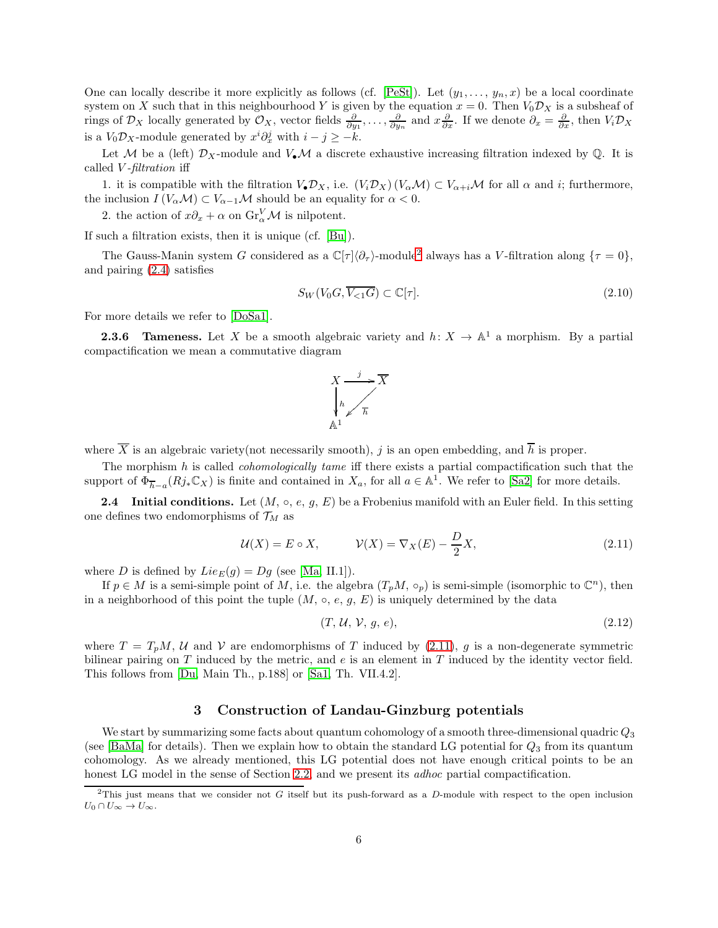One can locally describe it more explicitly as follows (cf. [\[PeSt\]](#page-21-15)). Let  $(y_1, \ldots, y_n, x)$  be a local coordinate system on X such that in this neighbourhood Y is given by the equation  $x = 0$ . Then  $V_0 \mathcal{D}_X$  is a subsheaf of rings of  $\mathcal{D}_X$  locally generated by  $\mathcal{O}_X$ , vector fields  $\frac{\partial}{\partial y_1}, \dots, \frac{\partial}{\partial y_n}$  and  $x \frac{\partial}{\partial x}$ . If we denote  $\partial_x = \frac{\partial}{\partial x}$ , then  $V_i \mathcal{D}_X$ is a  $V_0 \mathcal{D}_X$ -module generated by  $x^i \partial_x^j$  with  $i - j \geq -k$ .

Let M be a (left)  $\mathcal{D}_X$ -module and  $V_\bullet \mathcal{M}$  a discrete exhaustive increasing filtration indexed by  $\mathbb{Q}$ . It is called  $V$ -filtration iff

1. it is compatible with the filtration  $V_{\bullet} \mathcal{D}_X$ , i.e.  $(V_i \mathcal{D}_X) (V_{\alpha} \mathcal{M}) \subset V_{\alpha+i} \mathcal{M}$  for all  $\alpha$  and i; furthermore, the inclusion  $I(V_\alpha \mathcal{M}) \subset V_{\alpha-1} \mathcal{M}$  should be an equality for  $\alpha < 0$ .

2. the action of  $x\partial_x + \alpha$  on  $\operatorname{Gr}_{\alpha}^V \mathcal{M}$  is nilpotent.

If such a filtration exists, then it is unique (cf. [\[Bu\]](#page-20-2)).

The Gauss-Manin system G considered as a  $\mathbb{C}[\tau]\langle\partial_\tau\rangle$ -module<sup>[2](#page-5-1)</sup> always has a V-filtration along  $\{\tau=0\}$ , and pairing [\(2.4\)](#page-4-1) satisfies

$$
S_W(V_0G, \overline{V_{<1}G}) \subset \mathbb{C}[\tau].\tag{2.10}
$$

<span id="page-5-0"></span>For more details we refer to [\[DoSa1\]](#page-21-5).

**2.3.6 Tameness.** Let X be a smooth algebraic variety and  $h: X \to \mathbb{A}^1$  a morphism. By a partial compactification we mean a commutative diagram

<span id="page-5-3"></span>

where  $\overline{X}$  is an algebraic variety(not necessarily smooth), j is an open embedding, and  $\overline{h}$  is proper.

The morphism  $h$  is called *cohomologically tame* iff there exists a partial compactification such that the support of  $\Phi_{\overline{h}-a}(Rj_*\mathbb{C}_X)$  is finite and contained in  $X_a$ , for all  $a \in \mathbb{A}^1$ . We refer to [\[Sa2\]](#page-21-13) for more details.

2.4 Initial conditions. Let  $(M, \circ, e, g, E)$  be a Frobenius manifold with an Euler field. In this setting one defines two endomorphisms of  $\mathcal{T}_M$  as

$$
\mathcal{U}(X) = E \circ X, \qquad \mathcal{V}(X) = \nabla_X(E) - \frac{D}{2}X,\tag{2.11}
$$

where D is defined by  $Lie_E(g) = Dg$  (see [\[Ma,](#page-21-4) II.1]).

If  $p \in M$  is a semi-simple point of M, i.e. the algebra  $(T_pM, \circ_p)$  is semi-simple (isomorphic to  $\mathbb{C}^n$ ), then in a neighborhood of this point the tuple  $(M, \circ, e, g, E)$  is uniquely determined by the data

<span id="page-5-2"></span>
$$
(T, \mathcal{U}, \mathcal{V}, g, e), \tag{2.12}
$$

where  $T = T_pM$ , U and V are endomorphisms of T induced by [\(2.11\)](#page-5-2), g is a non-degenerate symmetric bilinear pairing on  $T$  induced by the metric, and  $e$  is an element in  $T$  induced by the identity vector field. This follows from [\[Du,](#page-21-16) Main Th., p.188] or [\[Sa1,](#page-21-14) Th. VII.4.2].

#### 3 Construction of Landau-Ginzburg potentials

We start by summarizing some facts about quantum cohomology of a smooth three-dimensional quadric  $Q_3$ (see [\[BaMa\]](#page-20-3) for details). Then we explain how to obtain the standard LG potential for  $Q_3$  from its quantum cohomology. As we already mentioned, this LG potential does not have enough critical points to be an honest LG model in the sense of Section [2.2,](#page-2-0) and we present its *adhoc* partial compactification.

<span id="page-5-1"></span><sup>&</sup>lt;sup>2</sup>This just means that we consider not G itself but its push-forward as a D-module with respect to the open inclusion  $U_0\cap U_\infty\to U_\infty.$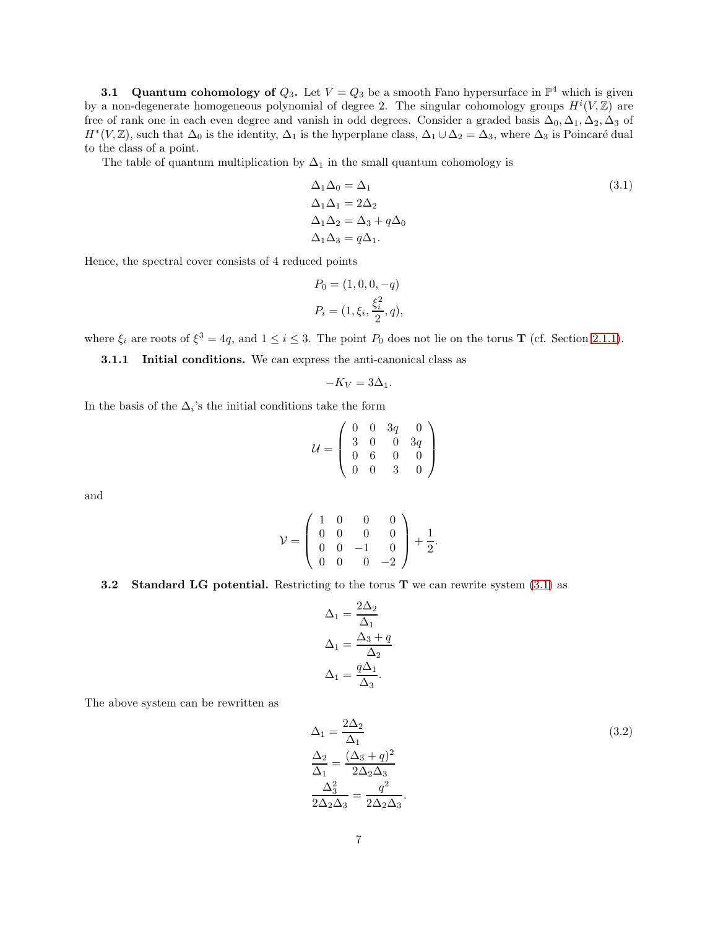**3.1** Quantum cohomology of  $Q_3$ . Let  $V = Q_3$  be a smooth Fano hypersurface in  $\mathbb{P}^4$  which is given by a non-degenerate homogeneous polynomial of degree 2. The singular cohomology groups  $H^{i}(V, \mathbb{Z})$  are free of rank one in each even degree and vanish in odd degrees. Consider a graded basis  $\Delta_0$ ,  $\Delta_1$ ,  $\Delta_2$ ,  $\Delta_3$  of  $H^*(V, \mathbb{Z})$ , such that  $\Delta_0$  is the identity,  $\Delta_1$  is the hyperplane class,  $\Delta_1 \cup \Delta_2 = \Delta_3$ , where  $\Delta_3$  is Poincaré dual to the class of a point.

The table of quantum multiplication by  $\Delta_1$  in the small quantum cohomology is

<span id="page-6-0"></span>
$$
\Delta_1 \Delta_0 = \Delta_1
$$
\n
$$
\Delta_1 \Delta_1 = 2\Delta_2
$$
\n
$$
\Delta_1 \Delta_2 = \Delta_3 + q\Delta_0
$$
\n
$$
\Delta_1 \Delta_3 = q\Delta_1.
$$
\n(3.1)

Hence, the spectral cover consists of 4 reduced points

$$
P_0 = (1, 0, 0, -q)
$$
  

$$
P_i = (1, \xi_i, \frac{\xi_i^2}{2}, q),
$$

<span id="page-6-2"></span>where  $\xi_i$  are roots of  $\xi^3 = 4q$ , and  $1 \le i \le 3$ . The point  $P_0$  does not lie on the torus **T** (cf. Section [2.1.1\)](#page-2-1).

3.1.1 Initial conditions. We can express the anti-canonical class as

$$
-K_V = 3\Delta_1.
$$

In the basis of the  $\Delta_i$ 's the initial conditions take the form

$$
\mathcal{U} = \left(\begin{array}{cccc} 0 & 0 & 3q & 0 \\ 3 & 0 & 0 & 3q \\ 0 & 6 & 0 & 0 \\ 0 & 0 & 3 & 0 \end{array}\right)
$$

and

$$
\mathcal{V} = \left( \begin{array}{cccc} 1 & 0 & 0 & 0 \\ 0 & 0 & 0 & 0 \\ 0 & 0 & -1 & 0 \\ 0 & 0 & 0 & -2 \end{array} \right) + \frac{1}{2}.
$$

#### **3.2** Standard LG potential. Restricting to the torus T we can rewrite system  $(3.1)$  as

$$
\Delta_1 = \frac{2\Delta_2}{\Delta_1}
$$

$$
\Delta_1 = \frac{\Delta_3 + q}{\Delta_2}
$$

$$
\Delta_1 = \frac{q\Delta_1}{\Delta_3}.
$$

The above system can be rewritten as

<span id="page-6-1"></span>
$$
\Delta_1 = \frac{2\Delta_2}{\Delta_1}
$$
\n
$$
\frac{\Delta_2}{\Delta_1} = \frac{(\Delta_3 + q)^2}{2\Delta_2\Delta_3}
$$
\n
$$
\frac{\Delta_3^2}{2\Delta_2\Delta_3} = \frac{q^2}{2\Delta_2\Delta_3}.
$$
\n(3.2)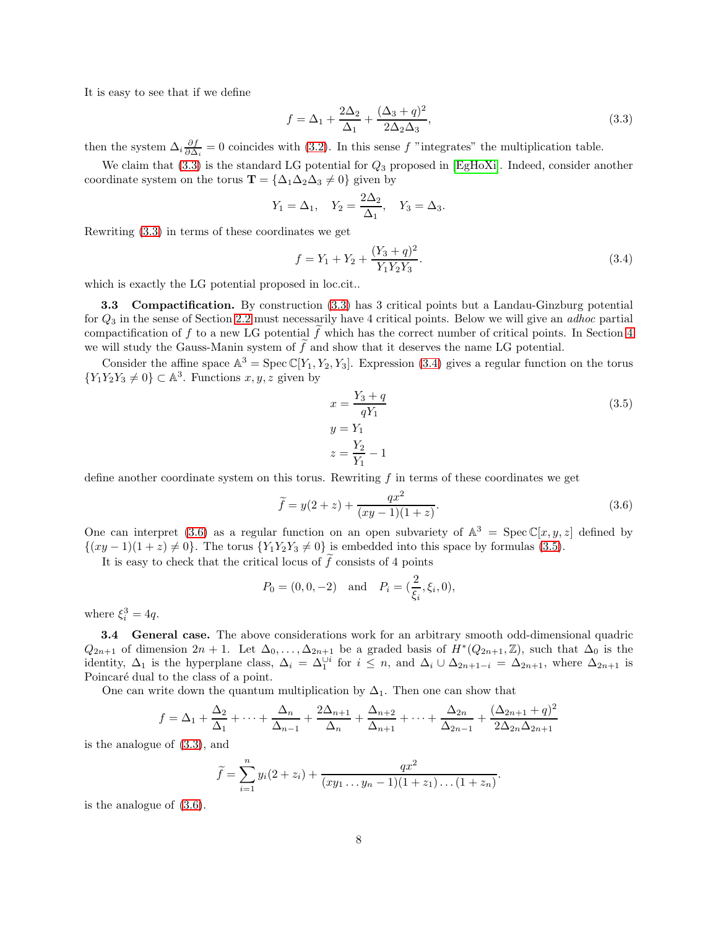It is easy to see that if we define

<span id="page-7-0"></span>
$$
f = \Delta_1 + \frac{2\Delta_2}{\Delta_1} + \frac{(\Delta_3 + q)^2}{2\Delta_2\Delta_3},
$$
\n(3.3)

then the system  $\Delta_i \frac{\partial f}{\partial \Delta_i} = 0$  coincides with [\(3.2\)](#page-6-1). In this sense f "integrates" the multiplication table.

We claim that  $(3.3)$  is the standard LG potential for  $Q_3$  proposed in [\[EgHoXi\]](#page-21-1). Indeed, consider another coordinate system on the torus  $\mathbf{T} = {\Delta_1 \Delta_2 \Delta_3 \neq 0}$  given by

$$
Y_1 = \Delta_1
$$
,  $Y_2 = \frac{2\Delta_2}{\Delta_1}$ ,  $Y_3 = \Delta_3$ .

Rewriting [\(3.3\)](#page-7-0) in terms of these coordinates we get

$$
f = Y_1 + Y_2 + \frac{(Y_3 + q)^2}{Y_1 Y_2 Y_3}.
$$
\n(3.4)

which is exactly the LG potential proposed in loc.cit..

3.3 Compactification. By construction [\(3.3\)](#page-7-0) has 3 critical points but a Landau-Ginzburg potential for  $Q_3$  in the sense of Section [2.2](#page-2-0) must necessarily have 4 critical points. Below we will give an *adhoc* partial compactification of f to a new LG potential  $\tilde{f}$  which has the correct number of critical points. In Section [4](#page-8-0) we will study the Gauss-Manin system of  $\tilde{f}$  and show that it deserves the name LG potential.

Consider the affine space  $\mathbb{A}^3 = \text{Spec } \mathbb{C}[Y_1, Y_2, Y_3]$ . Expression [\(3.4\)](#page-7-1) gives a regular function on the torus  ${Y_1Y_2Y_3 \neq 0} \subset \mathbb{A}^3$ . Functions  $x, y, z$  given by

<span id="page-7-3"></span><span id="page-7-1"></span>
$$
x = \frac{Y_3 + q}{qY_1}
$$
  
\n
$$
y = Y_1
$$
  
\n
$$
z = \frac{Y_2}{Y_1} - 1
$$
\n(3.5)

<span id="page-7-2"></span>.

define another coordinate system on this torus. Rewriting f in terms of these coordinates we get

$$
\tilde{f} = y(2+z) + \frac{qx^2}{(xy-1)(1+z)}.
$$
\n(3.6)

One can interpret [\(3.6\)](#page-7-2) as a regular function on an open subvariety of  $\mathbb{A}^3 = \text{Spec } \mathbb{C}[x, y, z]$  defined by  $\{(xy-1)(1+z)\neq 0\}$ . The torus  $\{Y_1Y_2Y_3\neq 0\}$  is embedded into this space by formulas [\(3.5\)](#page-7-3).

It is easy to check that the critical locus of  $\tilde{f}$  consists of 4 points

$$
P_0 = (0, 0, -2)
$$
 and  $P_i = (\frac{2}{\xi_i}, \xi_i, 0),$ 

where  $\xi_i^3 = 4q$ .

3.4 General case. The above considerations work for an arbitrary smooth odd-dimensional quadric  $Q_{2n+1}$  of dimension  $2n+1$ . Let  $\Delta_0, \ldots, \Delta_{2n+1}$  be a graded basis of  $H^*(Q_{2n+1}, \mathbb{Z})$ , such that  $\Delta_0$  is the identity,  $\Delta_1$  is the hyperplane class,  $\Delta_i = \Delta_1^{\cup i}$  for  $i \leq n$ , and  $\Delta_i \cup \Delta_{2n+1-i} = \Delta_{2n+1}$ , where  $\Delta_{2n+1}$  is Poincaré dual to the class of a point.

One can write down the quantum multiplication by  $\Delta_1$ . Then one can show that

$$
f = \Delta_1 + \frac{\Delta_2}{\Delta_1} + \dots + \frac{\Delta_n}{\Delta_{n-1}} + \frac{2\Delta_{n+1}}{\Delta_n} + \frac{\Delta_{n+2}}{\Delta_{n+1}} + \dots + \frac{\Delta_{2n}}{\Delta_{2n-1}} + \frac{(\Delta_{2n+1} + q)^2}{2\Delta_{2n}\Delta_{2n+1}}
$$

is the analogue of [\(3.3\)](#page-7-0), and

$$
\widetilde{f} = \sum_{i=1}^{n} y_i (2 + z_i) + \frac{qx^2}{(xy_1 \dots y_n - 1)(1 + z_1) \dots (1 + z_n)}
$$

is the analogue of [\(3.6\)](#page-7-2).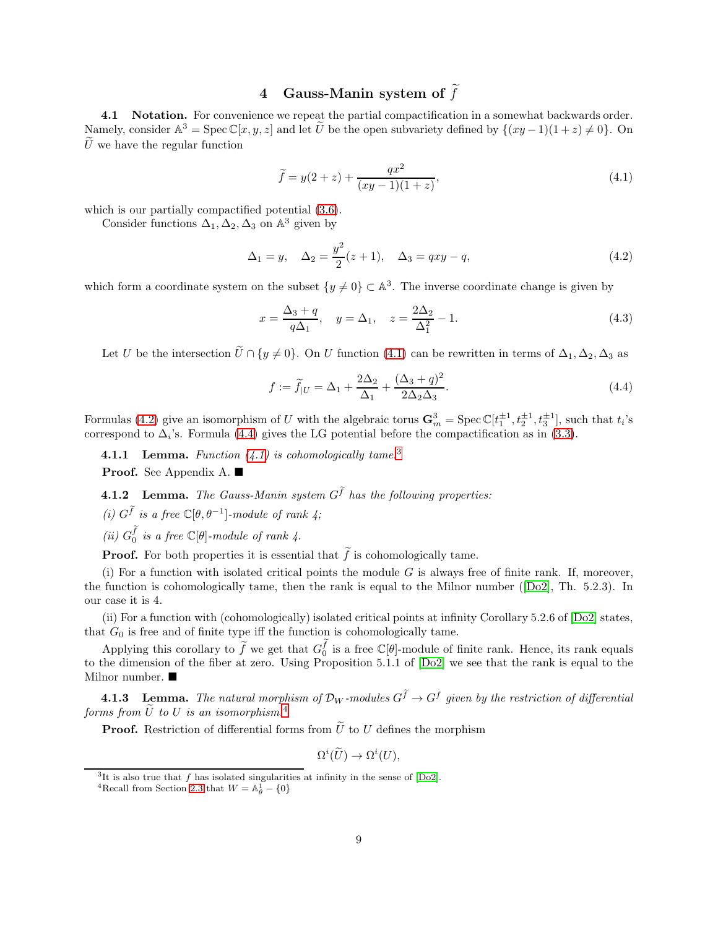# 4 Gauss-Manin system of  $\widetilde{f}$

<span id="page-8-0"></span>4.1 Notation. For convenience we repeat the partial compactification in a somewhat backwards order. Namely, consider  $\mathbb{A}^3 = \operatorname{Spec} \mathbb{C}[x, y, z]$  and let U be the open subvariety defined by  $\{(xy - 1)(1 + z) \neq 0\}$ . On  $\tilde{U}$  we have the regular function

<span id="page-8-3"></span><span id="page-8-2"></span>
$$
\tilde{f} = y(2+z) + \frac{qx^2}{(xy-1)(1+z)},
$$
\n(4.1)

which is our partially compactified potential  $(3.6)$ .

Consider functions  $\Delta_1, \Delta_2, \Delta_3$  on  $\mathbb{A}^3$  given by

$$
\Delta_1 = y, \quad \Delta_2 = \frac{y^2}{2}(z+1), \quad \Delta_3 = qxy - q,
$$
\n(4.2)

which form a coordinate system on the subset  $\{y \neq 0\} \subset \mathbb{A}^3$ . The inverse coordinate change is given by

$$
x = \frac{\Delta_3 + q}{q\Delta_1}, \quad y = \Delta_1, \quad z = \frac{2\Delta_2}{\Delta_1^2} - 1.
$$
 (4.3)

Let U be the intersection  $\widetilde{U} \cap \{y \neq 0\}$ . On U function [\(4.1\)](#page-8-2) can be rewritten in terms of  $\Delta_1, \Delta_2, \Delta_3$  as

<span id="page-8-4"></span>
$$
f := \widetilde{f}_{|U} = \Delta_1 + \frac{2\Delta_2}{\Delta_1} + \frac{(\Delta_3 + q)^2}{2\Delta_2\Delta_3}.
$$
\n
$$
(4.4)
$$

Formulas [\(4.2\)](#page-8-3) give an isomorphism of U with the algebraic torus  $\mathbf{G}_m^3 = \text{Spec } \mathbb{C}[t_1^{\pm 1}, t_2^{\pm 1}, t_3^{\pm 1}]$ , such that  $t_i$ 's correspond to  $\Delta_i$ 's. Formula [\(4.4\)](#page-8-4) gives the LG potential before the compactification as in [\(3.3\)](#page-7-0).

<span id="page-8-1"></span>**4.1.1 Lemma.** Function  $(4.1)$  is cohomologically tame.<sup>[3](#page-8-5)</sup>

Proof. See Appendix A. ■

**4.1.2** Lemma. The Gauss-Manin system  $G^{\tilde{f}}$  has the following properties:

- (i)  $G^{\tilde{f}}$  is a free  $\mathbb{C}[\theta, \theta^{-1}]$ -module of rank 4;
- (ii)  $G_0^{\tilde{f}}$  is a free  $\mathbb{C}[\theta]$ -module of rank 4.

**Proof.** For both properties it is essential that  $\tilde{f}$  is cohomologically tame.

(i) For a function with isolated critical points the module  $G$  is always free of finite rank. If, moreover, the function is cohomologically tame, then the rank is equal to the Milnor number([\[Do2\]](#page-20-1), Th. 5.2.3). In our case it is 4.

(ii) For a function with (cohomologically) isolated critical points at infinity Corollary 5.2.6 of [\[Do2\]](#page-20-1) states, that  $G_0$  is free and of finite type iff the function is cohomologically tame.

Applying this corollary to  $\tilde{f}$  we get that  $G_0^{\tilde{f}}$  is a free  $\mathbb{C}[\theta]$ -module of finite rank. Hence, its rank equals to the dimension of the fiber at zero. Using Proposition 5.1.1 of [\[Do2\]](#page-20-1) we see that the rank is equal to the Milnor number. ■

<span id="page-8-7"></span>**4.1.3** Lemma. The natural morphism of  $\mathcal{D}_W$ -modules  $G^{\tilde{f}} \to G^f$  given by the restriction of differential forms from  $\tilde{U}$  to U is an isomorphism.<sup>[4](#page-8-6)</sup>

**Proof.** Restriction of differential forms from  $\tilde{U}$  to U defines the morphism

$$
\Omega^i(\widetilde{U}) \to \Omega^i(U),
$$

<sup>&</sup>lt;sup>3</sup>It is also true that f has isolated singularities at infinity in the sense of [\[Do2\]](#page-20-1).

<span id="page-8-6"></span><span id="page-8-5"></span><sup>&</sup>lt;sup>4</sup>Recall from Section [2.3](#page-2-2) that  $W = \mathbb{A}_{\theta}^1 - \{0\}$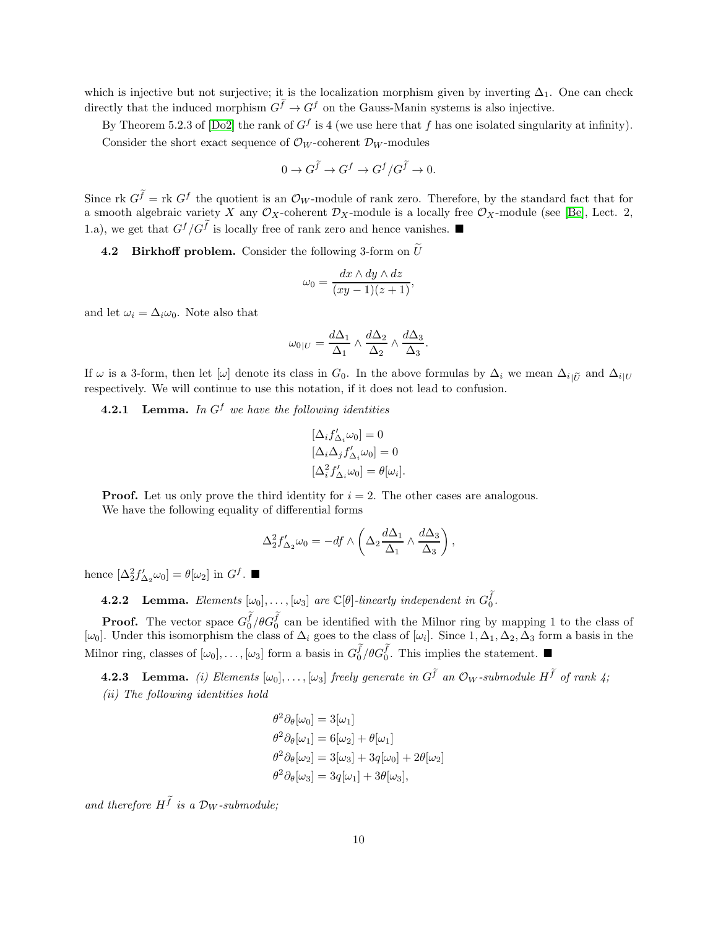which is injective but not surjective; it is the localization morphism given by inverting  $\Delta_1$ . One can check directly that the induced morphism  $G^{\tilde{f}} \to G^f$  on the Gauss-Manin systems is also injective.

By Theorem 5.2.3 of [\[Do2\]](#page-20-1) the rank of  $G^f$  is 4 (we use here that f has one isolated singularity at infinity). Consider the short exact sequence of  $\mathcal{O}_W$ -coherent  $\mathcal{D}_W$ -modules

$$
0 \to G^{\widetilde{f}} \to G^f \to G^f/G^{\widetilde{f}} \to 0.
$$

Since rk  $G^{\tilde{f}} =$  rk  $G^f$  the quotient is an  $\mathcal{O}_W$ -module of rank zero. Therefore, by the standard fact that for a smooth algebraic variety X any  $\mathcal{O}_X$ -coherent  $\mathcal{D}_X$ -module is a locally free  $\mathcal{O}_X$ -module (see [\[Be\]](#page-20-4), Lect. 2, 1.a), we get that  $G^f/G^{\tilde{f}}$  is locally free of rank zero and hence vanishes.

**4.2 Birkhoff problem.** Consider the following 3-form on  $\widetilde{U}$ 

$$
\omega_0 = \frac{dx \wedge dy \wedge dz}{(xy - 1)(z + 1)},
$$

and let  $\omega_i = \Delta_i \omega_0$ . Note also that

$$
\omega_{0|U} = \frac{d\Delta_1}{\Delta_1} \wedge \frac{d\Delta_2}{\Delta_2} \wedge \frac{d\Delta_3}{\Delta_3}.
$$

If  $\omega$  is a 3-form, then let  $[\omega]$  denote its class in  $G_0$ . In the above formulas by  $\Delta_i$  we mean  $\Delta_{i|\tilde{U}}$  and  $\Delta_{i|U}$ respectively. We will continue to use this notation, if it does not lead to confusion.

<span id="page-9-1"></span>**4.2.1** Lemma. In  $G^f$  we have the following identities

$$
\begin{aligned} [\Delta_i f'_{\Delta_i} \omega_0] &= 0\\ [\Delta_i \Delta_j f'_{\Delta_i} \omega_0] &= 0\\ [\Delta_i^2 f'_{\Delta_i} \omega_0] &= \theta[\omega_i]. \end{aligned}
$$

**Proof.** Let us only prove the third identity for  $i = 2$ . The other cases are analogous. We have the following equality of differential forms

$$
\Delta_2^2 f'_{\Delta_2} \omega_0 = -df \wedge \left( \Delta_2 \frac{d\Delta_1}{\Delta_1} \wedge \frac{d\Delta_3}{\Delta_3} \right),
$$

<span id="page-9-0"></span>hence  $[\Delta_2^2 f'_{\Delta_2} \omega_0] = \theta[\omega_2]$  in  $G^f$ .

**4.2.2** Lemma. Elements  $[\omega_0], \ldots, [\omega_3]$  are  $\mathbb{C}[\theta]$ -linearly independent in  $G_0^{\tilde{f}}$ .

**Proof.** The vector space  $G_0^{\tilde{f}}/ \theta G_0^{\tilde{f}}$  can be identified with the Milnor ring by mapping 1 to the class of  $[\omega_0]$ . Under this isomorphism the class of  $\Delta_i$  goes to the class of  $[\omega_i]$ . Since  $1, \Delta_1, \Delta_2, \Delta_3$  form a basis in the Milnor ring, classes of  $[\omega_0], \ldots, [\omega_3]$  form a basis in  $G_0^{\tilde{f}}/\theta G_0^{\tilde{f}}$ . This implies the statement.

<span id="page-9-2"></span>**4.2.3** Lemma. (i) Elements  $[\omega_0], \ldots, [\omega_3]$  freely generate in  $G^{\tilde{f}}$  an  $\mathcal{O}_W$ -submodule  $H^{\tilde{f}}$  of rank 4; (ii) The following identities hold

$$
\theta^2 \partial_{\theta}[\omega_0] = 3[\omega_1] \n\theta^2 \partial_{\theta}[\omega_1] = 6[\omega_2] + \theta[\omega_1] \n\theta^2 \partial_{\theta}[\omega_2] = 3[\omega_3] + 3q[\omega_0] + 2\theta[\omega_2] \n\theta^2 \partial_{\theta}[\omega_3] = 3q[\omega_1] + 3\theta[\omega_3],
$$

and therefore  $H^{\tilde{f}}$  is a  $\mathcal{D}_W$ -submodule;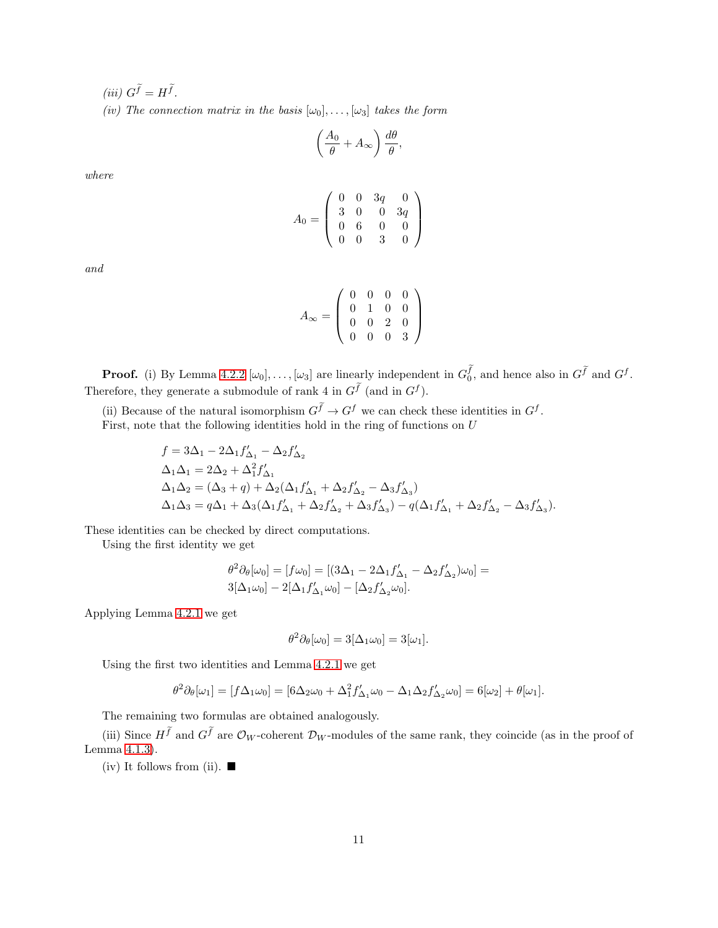(iii)  $G^{\tilde{f}} = H^{\tilde{f}}$ .

(iv) The connection matrix in the basis  $[\omega_0], \ldots, [\omega_3]$  takes the form

$$
\left(\frac{A_0}{\theta} + A_{\infty}\right) \frac{d\theta}{\theta},
$$

where

$$
A_0 = \left(\begin{array}{cccc} 0 & 0 & 3q & 0 \\ 3 & 0 & 0 & 3q \\ 0 & 6 & 0 & 0 \\ 0 & 0 & 3 & 0 \end{array}\right)
$$

and

$$
A_{\infty} = \left( \begin{array}{cccc} 0 & 0 & 0 & 0 \\ 0 & 1 & 0 & 0 \\ 0 & 0 & 2 & 0 \\ 0 & 0 & 0 & 3 \end{array} \right)
$$

**Proof.** (i) By Lemma [4.2.2](#page-9-0)  $[\omega_0], \ldots, [\omega_3]$  are linearly independent in  $G_0^{\tilde{f}}$ , and hence also in  $G^{\tilde{f}}$  and  $G^f$ . Therefore, they generate a submodule of rank 4 in  $G^{\tilde{f}}$  (and in  $G^f$ ).

(ii) Because of the natural isomorphism  $G^{\tilde{f}} \to G^f$  we can check these identities in  $G^f$ . First, note that the following identities hold in the ring of functions on  $U$ 

$$
\begin{split} &f=3\Delta_1-2\Delta_1 f'_{\Delta_1}-\Delta_2 f'_{\Delta_2}\\ &\Delta_1\Delta_1=2\Delta_2+\Delta_1^2 f'_{\Delta_1}\\ &\Delta_1\Delta_2=(\Delta_3+q)+\Delta_2(\Delta_1 f'_{\Delta_1}+\Delta_2 f'_{\Delta_2}-\Delta_3 f'_{\Delta_3})\\ &\Delta_1\Delta_3=q\Delta_1+\Delta_3(\Delta_1 f'_{\Delta_1}+\Delta_2 f'_{\Delta_2}+\Delta_3 f'_{\Delta_3})-q(\Delta_1 f'_{\Delta_1}+\Delta_2 f'_{\Delta_2}-\Delta_3 f'_{\Delta_3}). \end{split}
$$

These identities can be checked by direct computations.

Using the first identity we get

$$
\theta^2 \partial_{\theta}[\omega_0] = [f\omega_0] = [(3\Delta_1 - 2\Delta_1 f'_{\Delta_1} - \Delta_2 f'_{\Delta_2})\omega_0] = 3[\Delta_1 \omega_0] - 2[\Delta_1 f'_{\Delta_1} \omega_0] - [\Delta_2 f'_{\Delta_2} \omega_0].
$$

Applying Lemma [4.2.1](#page-9-1) we get

$$
\theta^2 \partial_{\theta}[\omega_0] = 3[\Delta_1 \omega_0] = 3[\omega_1].
$$

Using the first two identities and Lemma [4.2.1](#page-9-1) we get

$$
\theta^2 \partial_{\theta}[\omega_1] = [f\Delta_1 \omega_0] = [6\Delta_2 \omega_0 + \Delta_1^2 f'_{\Delta_1} \omega_0 - \Delta_1 \Delta_2 f'_{\Delta_2} \omega_0] = 6[\omega_2] + \theta[\omega_1].
$$

The remaining two formulas are obtained analogously.

(iii) Since  $H^{\tilde{f}}$  and  $G^{\tilde{f}}$  are  $\mathcal{O}_W$ -coherent  $\mathcal{D}_W$ -modules of the same rank, they coincide (as in the proof of Lemma [4.1.3\)](#page-8-7).

(iv) It follows from (ii).  $\blacksquare$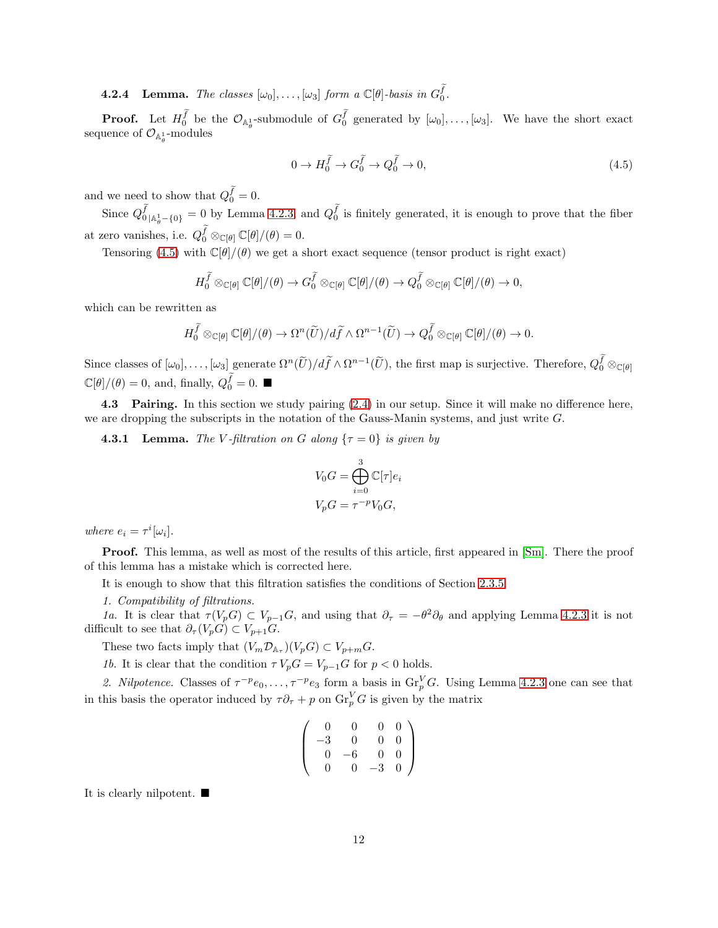**4.2.4** Lemma. The classes  $[\omega_0], \ldots, [\omega_3]$  form a  $\mathbb{C}[\theta]$ -basis in  $G_0^{\widetilde{f}}$ .

**Proof.** Let  $H_0^{\tilde{f}}$  be the  $\mathcal{O}_{\mathbb{A}_{\theta}^1}$ -submodule of  $G_0^{\tilde{f}}$  generated by  $[\omega_0], \ldots, [\omega_3]$ . We have the short exact sequence of  $\mathcal{O}_{\mathbb{A}_{\theta}^1}$ -modules

<span id="page-11-0"></span>
$$
0 \to H_0^{\tilde{f}} \to G_0^{\tilde{f}} \to Q_0^{\tilde{f}} \to 0,
$$
\n
$$
(4.5)
$$

and we need to show that  $Q_0^{\tilde{f}} = 0$ .

Since  $Q_0^{\widetilde{f}}$  $\tilde{f}_{0|\mathbb{A}^1_{\theta}-\{0\}}=0$  by Lemma [4.2.3,](#page-9-2) and  $Q_0^{\tilde{f}}$  is finitely generated, it is enough to prove that the fiber at zero vanishes, i.e.  $Q_0^{\tilde{f}} \otimes_{\mathbb{C}[\theta]} \mathbb{C}[\theta] / (\theta) = 0$ .

Tensoring [\(4.5\)](#page-11-0) with  $\mathbb{C}[\theta]/(\theta)$  we get a short exact sequence (tensor product is right exact)

$$
H_0^{\widetilde{f}} \otimes_{\mathbb{C}[\theta]} \mathbb{C}[\theta]/(\theta) \to G_0^{\widetilde{f}} \otimes_{\mathbb{C}[\theta]} \mathbb{C}[\theta]/(\theta) \to Q_0^{\widetilde{f}} \otimes_{\mathbb{C}[\theta]} \mathbb{C}[\theta]/(\theta) \to 0,
$$

which can be rewritten as

$$
H_0^{\widetilde{f}} \otimes_{\mathbb{C}[\theta]} \mathbb{C}[\theta]/(\theta) \to \Omega^n(\widetilde{U})/d\widetilde{f} \wedge \Omega^{n-1}(\widetilde{U}) \to Q_0^{\widetilde{f}} \otimes_{\mathbb{C}[\theta]} \mathbb{C}[\theta]/(\theta) \to 0.
$$

Since classes of  $[\omega_0], \ldots, [\omega_3]$  generate  $\Omega^n(\widetilde{U})/d\widetilde{f} \wedge \Omega^{n-1}(\widetilde{U}),$  the first map is surjective. Therefore,  $Q_0^{\widetilde{f}} \otimes_{\mathbb{C}[\theta]}$  $\mathbb{C}[\theta]/(\theta) = 0$ , and, finally,  $Q_0^{\widetilde{f}} = 0$ .

4.3 Pairing. In this section we study pairing  $(2.4)$  in our setup. Since it will make no difference here, we are dropping the subscripts in the notation of the Gauss-Manin systems, and just write G.

**4.3.1 Lemma.** The V-filtration on G along  $\{\tau = 0\}$  is given by

$$
V_0 G = \bigoplus_{i=0}^3 \mathbb{C}[\tau]e_i
$$
  

$$
V_p G = \tau^{-p} V_0 G,
$$

where  $e_i = \tau^i[\omega_i]$ .

Proof. This lemma, as well as most of the results of this article, first appeared in [\[Sm\]](#page-22-2). There the proof of this lemma has a mistake which is corrected here.

It is enough to show that this filtration satisfies the conditions of Section [2.3.5.](#page-4-5)

1. Compatibility of filtrations.

1a. It is clear that  $\tau(V_pG) \subset V_{p-1}G$ , and using that  $\partial_{\tau} = -\theta^2 \partial_{\theta}$  and applying Lemma [4.2.3](#page-9-2) it is not difficult to see that  $\partial_{\tau}(V_pG) \subset V_{p+1}G$ .

These two facts imply that  $(V_m \mathcal{D}_{A_\tau})(V_p G) \subset V_{p+m} G$ .

1b. It is clear that the condition  $\tau V_p G = V_{p-1} G$  for  $p < 0$  holds.

2. Nilpotence. Classes of  $\tau^{-p}e_0, \ldots, \tau^{-p}e_3$  form a basis in  $\text{Gr}_p^V G$ . Using Lemma [4.2.3](#page-9-2) one can see that in this basis the operator induced by  $\tau \partial_{\tau} + p$  on  $\text{Gr}_{p}^{V}G$  is given by the matrix

$$
\left(\begin{array}{cccc} 0 & 0 & 0 & 0 \\ -3 & 0 & 0 & 0 \\ 0 & -6 & 0 & 0 \\ 0 & 0 & -3 & 0 \end{array}\right)
$$

It is clearly nilpotent.  $\blacksquare$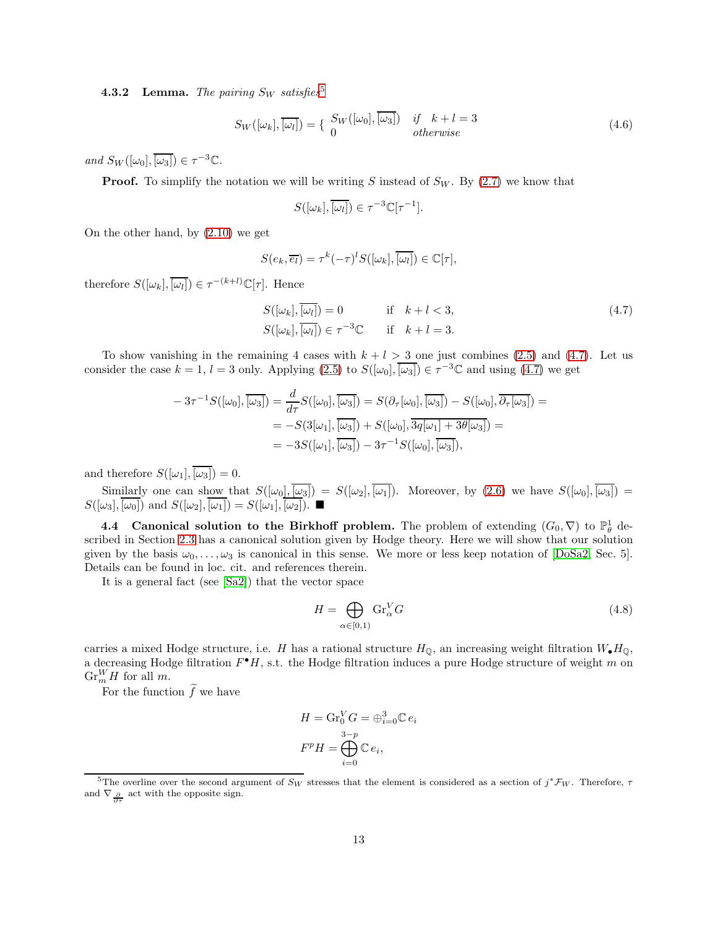<span id="page-12-2"></span>**4.3.2 Lemma.** The pairing  $S_W$  satisfies<sup>[5](#page-12-0)</sup>

$$
S_W([\omega_k], \overline{[\omega_l]}) = \{ \begin{array}{ll} S_W([\omega_0], \overline{[\omega_3]}) & \text{if} \quad k + l = 3 \\ 0 & \text{otherwise} \end{array} \tag{4.6}
$$

and  $S_W([\omega_0], \overline{[\omega_3]}) \in \tau^{-3} \mathbb{C}$ .

**Proof.** To simplify the notation we will be writing S instead of  $S_W$ . By [\(2.7\)](#page-4-4) we know that

<span id="page-12-1"></span>
$$
S([\omega_k], \overline{[\omega_l]}) \in \tau^{-3} \mathbb{C}[\tau^{-1}].
$$

On the other hand, by [\(2.10\)](#page-5-3) we get

$$
S(e_k, \overline{e_l}) = \tau^k (-\tau)^l S([\omega_k], \overline{[\omega_l]}) \in \mathbb{C}[\tau],
$$

therefore  $S([\omega_k], \overline{[\omega_l]}) \in \tau^{-(k+l)} \mathbb{C}[\tau]$ . Hence

$$
S([\omega_k], \overline{[\omega_l]}) = 0 \qquad \text{if} \quad k + l < 3,
$$
\n
$$
S([\omega_k], \overline{[\omega_l]}) \in \tau^{-3} \mathbb{C} \qquad \text{if} \quad k + l = 3.
$$
\n
$$
(4.7)
$$

To show vanishing in the remaining 4 cases with  $k + l > 3$  one just combines [\(2.5\)](#page-4-6) and [\(4.7\)](#page-12-1). Let us consider the case  $k = 1$ ,  $l = 3$  only. Applying  $(2.5)$  to  $S([\omega_0], \overline{[\omega_3]}) \in \tau^{-3} \mathbb{C}$  and using  $(4.7)$  we get

$$
-3\tau^{-1}S([\omega_0], \overline{[\omega_3]}) = \frac{d}{d\tau}S([\omega_0], \overline{[\omega_3]}) = S(\partial_{\tau}[\omega_0], \overline{[\omega_3]}) - S([\omega_0], \overline{\partial_{\tau}[\omega_3]}) =
$$
  

$$
= -S(3[\omega_1], \overline{[\omega_3]}) + S([\omega_0], \overline{3q[\omega_1] + 3\theta[\omega_3]}) =
$$
  

$$
= -3S([\omega_1], \overline{[\omega_3]}) - 3\tau^{-1}S([\omega_0], \overline{[\omega_3]})
$$

and therefore  $S([\omega_1], \overline{[\omega_3]}) = 0.$ 

Similarly one can show that  $S([\omega_0], \overline{[\omega_3]}) = S([\omega_2], \overline{[\omega_1]})$ . Moreover, by  $(2.6)$  we have  $S([\omega_0], \overline{[\omega_3]}) =$  $S([\omega_3], \overline{[\omega_0]})$  and  $S([\omega_2], \overline{[\omega_1]}) = S([\omega_1], \overline{[\omega_2]})$ .

**4.4** Canonical solution to the Birkhoff problem. The problem of extending  $(G_0, \nabla)$  to  $\mathbb{P}^1_{\theta}$  described in Section [2.3](#page-2-2) has a canonical solution given by Hodge theory. Here we will show that our solution given by the basis  $\omega_0, \ldots, \omega_3$  is canonical in this sense. We more or less keep notation of [\[DoSa2,](#page-21-6) Sec. 5]. Details can be found in loc. cit. and references therein.

It is a general fact (see [\[Sa2\]](#page-21-13)) that the vector space

$$
H = \bigoplus_{\alpha \in [0,1)} \mathrm{Gr}_{\alpha}^V G \tag{4.8}
$$

carries a mixed Hodge structure, i.e. H has a rational structure  $H_{\mathbb{Q}}$ , an increasing weight filtration  $W_{\bullet}H_{\mathbb{Q}}$ , a decreasing Hodge filtration  $F^{\bullet}H$ , s.t. the Hodge filtration induces a pure Hodge structure of weight m on  $\mathrm{Gr}_{m}^{W}H$  for all m.

For the function  $\widetilde{f}$  we have

$$
H = \mathrm{Gr}_{0}^{V} G = \bigoplus_{i=0}^{3} \mathbb{C} e_{i}
$$

$$
F^{p} H = \bigoplus_{i=0}^{3-p} \mathbb{C} e_{i},
$$

<span id="page-12-0"></span><sup>&</sup>lt;sup>5</sup>The overline over the second argument of  $S_W$  stresses that the element is considered as a section of  $j^* \mathcal{F}_W$ . Therefore,  $\tau$ and  $\nabla_{\frac{\partial}{\partial \tau}}$  act with the opposite sign.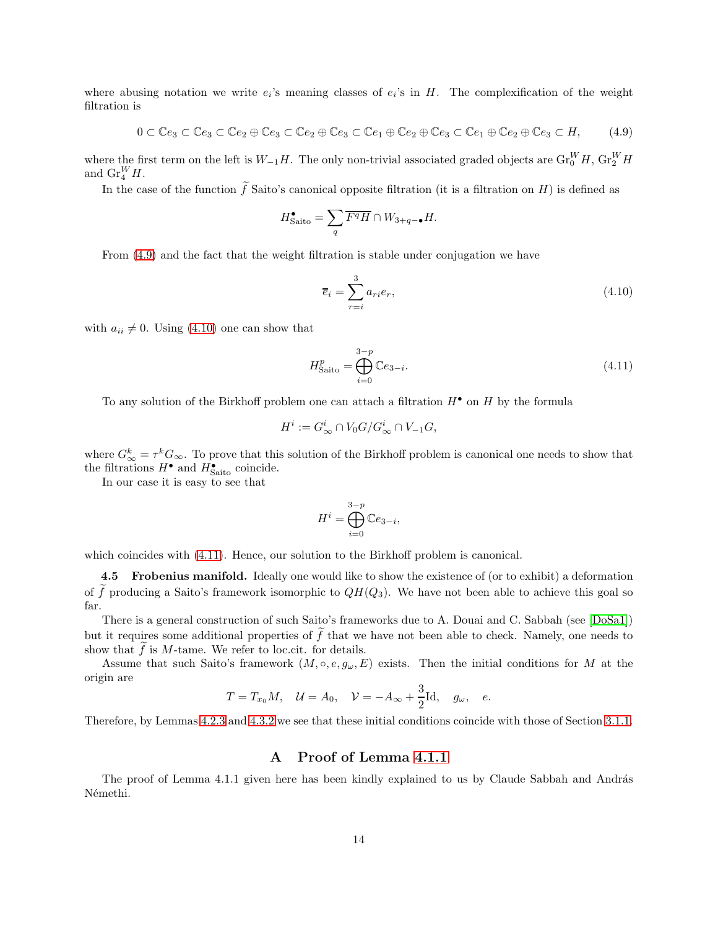where abusing notation we write  $e_i$ 's meaning classes of  $e_i$ 's in H. The complexification of the weight filtration is

$$
0 \subset \mathbb{C}e_3 \subset \mathbb{C}e_3 \subset \mathbb{C}e_2 \oplus \mathbb{C}e_3 \subset \mathbb{C}e_2 \oplus \mathbb{C}e_3 \subset \mathbb{C}e_1 \oplus \mathbb{C}e_2 \oplus \mathbb{C}e_3 \subset \mathbb{C}e_1 \oplus \mathbb{C}e_2 \oplus \mathbb{C}e_3 \subset H,
$$
 (4.9)

where the first term on the left is  $W_{-1}H$ . The only non-trivial associated graded objects are  $\text{Gr}_{0}^{W}H$ ,  $\text{Gr}_{2}^{W}H$ and  $\text{Gr}_4^W H$ .

In the case of the function  $\tilde{f}$  Saito's canonical opposite filtration (it is a filtration on H) is defined as

$$
H^{\bullet}_{\text{Saito}} = \sum_{q} \overline{F^q H} \cap W_{3+q-\bullet} H.
$$

From [\(4.9\)](#page-13-0) and the fact that the weight filtration is stable under conjugation we have

<span id="page-13-2"></span><span id="page-13-1"></span><span id="page-13-0"></span>
$$
\overline{e}_i = \sum_{r=i}^{3} a_{ri} e_r,\tag{4.10}
$$

with  $a_{ii} \neq 0$ . Using [\(4.10\)](#page-13-1) one can show that

$$
H_{\text{Saito}}^p = \bigoplus_{i=0}^{3-p} \mathbb{C}e_{3-i}.
$$
 (4.11)

To any solution of the Birkhoff problem one can attach a filtration  $H^{\bullet}$  on H by the formula

$$
H^i := G^i_{\infty} \cap V_0 G / G^i_{\infty} \cap V_{-1} G,
$$

where  $G_{\infty}^{k} = \tau^{k} G_{\infty}$ . To prove that this solution of the Birkhoff problem is canonical one needs to show that the filtrations  $H^{\bullet}$  and  $H^{\bullet}_{\text{Saito}}$  coincide.

In our case it is easy to see that

$$
H^i = \bigoplus_{i=0}^{3-p} \mathbb{C}e_{3-i},
$$

which coincides with  $(4.11)$ . Hence, our solution to the Birkhoff problem is canonical.

4.5 Frobenius manifold. Ideally one would like to show the existence of (or to exhibit) a deformation of  $\tilde{f}$  producing a Saito's framework isomorphic to  $QH(Q_3)$ . We have not been able to achieve this goal so far.

There is a general construction of such Saito's frameworks due to A. Douai and C. Sabbah (see [\[DoSa1\]](#page-21-5)) but it requires some additional properties of  $f$  that we have not been able to check. Namely, one needs to show that  $f$  is  $M$ -tame. We refer to loc.cit. for details.

Assume that such Saito's framework  $(M, \circ, e, g_\omega, E)$  exists. Then the initial conditions for M at the origin are

$$
T = T_{x_0}M
$$
,  $U = A_0$ ,  $V = -A_{\infty} + \frac{3}{2}Id$ ,  $g_{\omega}$ , e.

Therefore, by Lemmas [4.2.3](#page-9-2) and [4.3.2](#page-12-2) we see that these initial conditions coincide with those of Section [3.1.1.](#page-6-2)

#### A Proof of Lemma [4.1.1](#page-8-1)

The proof of Lemma 4.1.1 given here has been kindly explained to us by Claude Sabbah and András Némethi.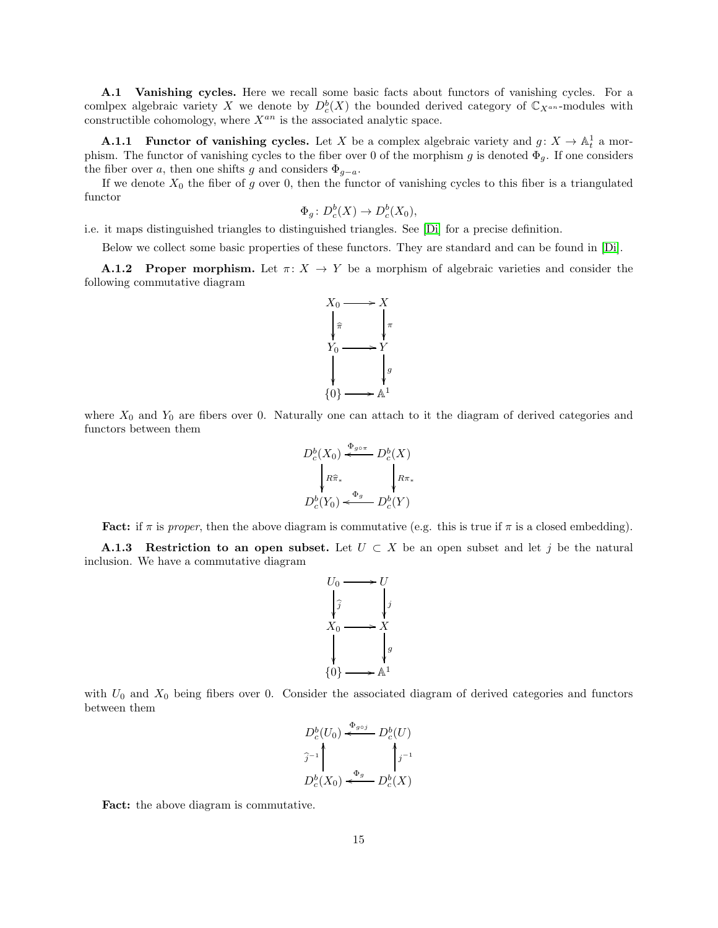A.1 Vanishing cycles. Here we recall some basic facts about functors of vanishing cycles. For a comlpex algebraic variety X we denote by  $D_c^b(X)$  the bounded derived category of  $\mathbb{C}_{X^{an}}$ -modules with constructible cohomology, where  $X^{an}$  is the associated analytic space.

**A.1.1** Functor of vanishing cycles. Let X be a complex algebraic variety and  $g: X \to \mathbb{A}^1_t$  a morphism. The functor of vanishing cycles to the fiber over 0 of the morphism g is denoted  $\Phi_g$ . If one considers the fiber over a, then one shifts g and considers  $\Phi_{g-a}$ .

If we denote  $X_0$  the fiber of g over 0, then the functor of vanishing cycles to this fiber is a triangulated functor

$$
\Phi_g \colon D^b_c(X) \to D^b_c(X_0),
$$

i.e. it maps distinguished triangles to distinguished triangles. See [\[Di\]](#page-20-5) for a precise definition.

Below we collect some basic properties of these functors. They are standard and can be found in [\[Di\]](#page-20-5).

**A.1.2** Proper morphism. Let  $\pi: X \to Y$  be a morphism of algebraic varieties and consider the following commutative diagram



where  $X_0$  and  $Y_0$  are fibers over 0. Naturally one can attach to it the diagram of derived categories and functors between them

$$
D_c^b(X_0) \xleftarrow{\Phi_{g \circ \pi}} D_c^b(X)
$$
  
\n
$$
R\hat{\pi}_*
$$
  
\n
$$
D_c^b(Y_0) \xleftarrow{\Phi_g} D_c^b(Y)
$$

**Fact:** if  $\pi$  is proper, then the above diagram is commutative (e.g. this is true if  $\pi$  is a closed embedding).

<span id="page-14-0"></span>**A.1.3** Restriction to an open subset. Let  $U \subset X$  be an open subset and let j be the natural inclusion. We have a commutative diagram



with  $U_0$  and  $X_0$  being fibers over 0. Consider the associated diagram of derived categories and functors between them



Fact: the above diagram is commutative.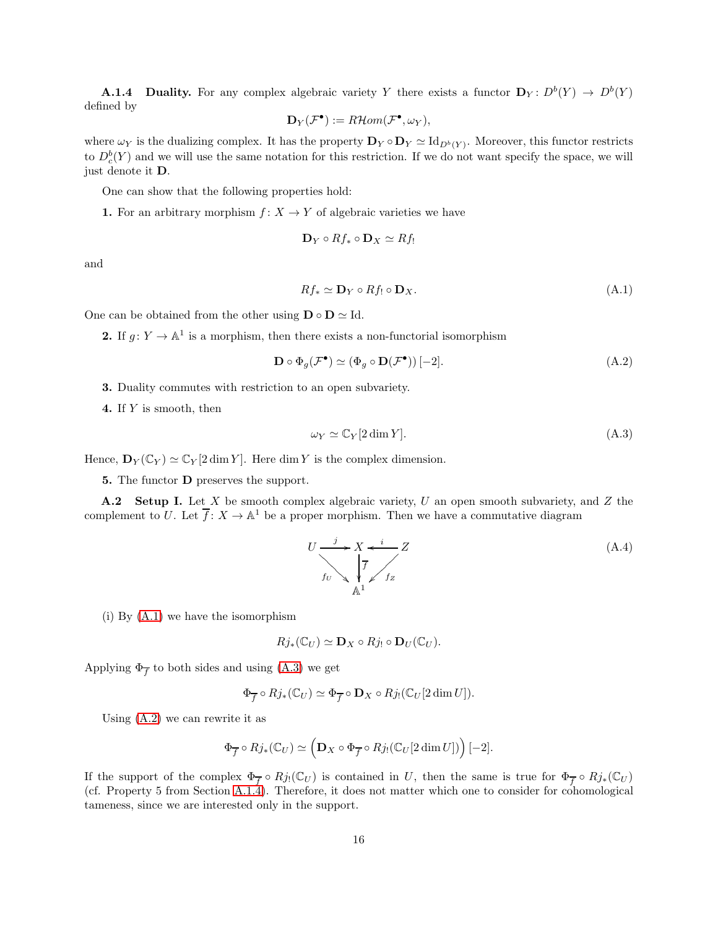<span id="page-15-3"></span>**A.1.4** Duality. For any complex algebraic variety Y there exists a functor  $D_Y: D^b(Y) \to D^b(Y)$ defined by

$$
\mathbf{D}_Y(\mathcal{F}^{\bullet}) := R\mathcal{H}om(\mathcal{F}^{\bullet}, \omega_Y),
$$

where  $\omega_Y$  is the dualizing complex. It has the property  $\mathbf{D}_Y \circ \mathbf{D}_Y \simeq \mathrm{Id}_{D^b(Y)}$ . Moreover, this functor restricts to  $D_c^b(Y)$  and we will use the same notation for this restriction. If we do not want specify the space, we will just denote it D.

One can show that the following properties hold:

1. For an arbitrary morphism  $f: X \to Y$  of algebraic varieties we have

$$
\mathbf{D}_Y \circ Rf_* \circ \mathbf{D}_X \simeq Rf_!
$$

and

<span id="page-15-0"></span>
$$
Rf_* \simeq \mathbf{D}_Y \circ Rf_! \circ \mathbf{D}_X. \tag{A.1}
$$

One can be obtained from the other using  $\mathbf{D} \circ \mathbf{D} \simeq \text{Id}$ .

**2.** If  $g: Y \to \mathbb{A}^1$  is a morphism, then there exists a non-functorial isomorphism

$$
\mathbf{D} \circ \Phi_g(\mathcal{F}^{\bullet}) \simeq (\Phi_g \circ \mathbf{D}(\mathcal{F}^{\bullet})) [-2]. \tag{A.2}
$$

3. Duality commutes with restriction to an open subvariety.

4. If Y is smooth, then

<span id="page-15-2"></span><span id="page-15-1"></span>
$$
\omega_Y \simeq \mathbb{C}_Y[2\dim Y].\tag{A.3}
$$

Hence,  $\mathbf{D}_Y(\mathbb{C}_Y) \simeq \mathbb{C}_Y[2 \dim Y]$ . Here dim Y is the complex dimension.

5. The functor D preserves the support.

**A.2** Setup I. Let X be smooth complex algebraic variety, U an open smooth subvariety, and Z the complement to U. Let  $\overline{f}$ :  $X \to \mathbb{A}^1$  be a proper morphism. Then we have a commutative diagram

<span id="page-15-4"></span>
$$
U \xrightarrow{j} X \xleftarrow{i} Z
$$
  
\n $f_U$ \n
$$
\sqrt{\frac{f}{f}} \qquad f_Z
$$
\n(A.4)

(i) By [\(A.1\)](#page-15-0) we have the isomorphism

$$
Rj_*(\mathbb{C}_U) \simeq \mathbf{D}_X \circ Rj_! \circ \mathbf{D}_U(\mathbb{C}_U).
$$

Applying  $\Phi_{\overline{f}}$  to both sides and using [\(A.3\)](#page-15-1) we get

$$
\Phi_{\overline{f}} \circ Rj_{*}(\mathbb{C}_U) \simeq \Phi_{\overline{f}} \circ \mathbf{D}_X \circ Rj_{!}(\mathbb{C}_U[2\dim U]).
$$

Using [\(A.2\)](#page-15-2) we can rewrite it as

$$
\Phi_{\overline{f}}\circ Rj_*(\mathbb{C}_U)\simeq \Big(\mathbf{D}_X\circ \Phi_{\overline{f}}\circ Rj_!(\mathbb{C}_U[2\dim U])\Big)[-2].
$$

If the support of the complex  $\Phi_{\overline{f}} \circ Rj(\mathbb{C}_U)$  is contained in U, then the same is true for  $\Phi_{\overline{f}} \circ Rj_*(\mathbb{C}_U)$ (cf. Property 5 from Section [A.1.4\)](#page-15-3). Therefore, it does not matter which one to consider for cohomological tameness, since we are interested only in the support.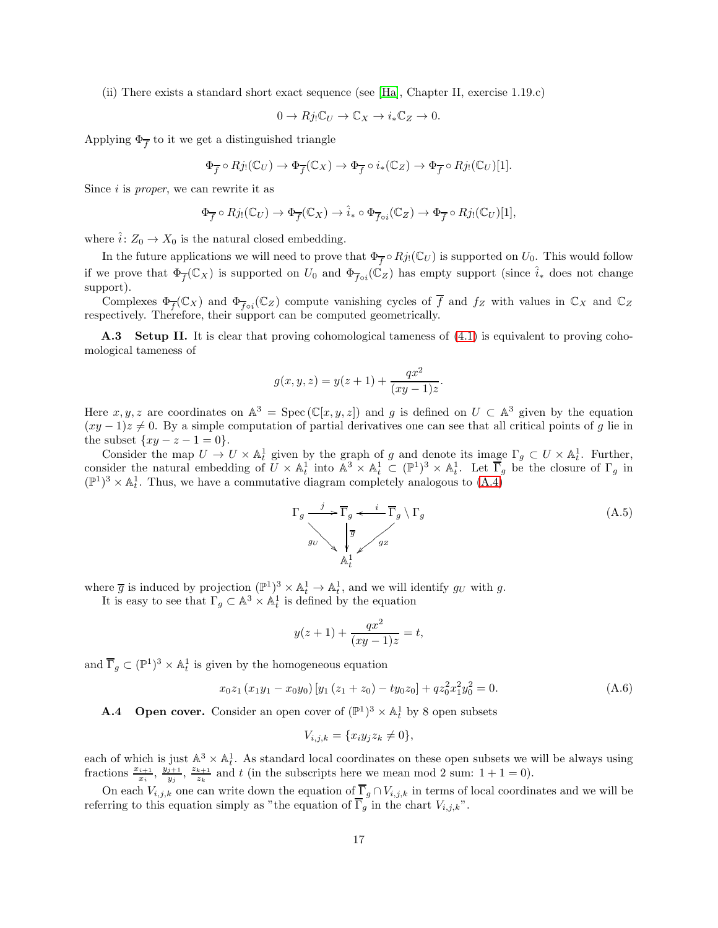(ii) There exists a standard short exact sequence (see [\[Ha\]](#page-21-17), Chapter II, exercise 1.19.c)

$$
0 \to Rj_! \mathbb{C}_U \to \mathbb{C}_X \to i_* \mathbb{C}_Z \to 0.
$$

Applying  $\Phi_{\overline{f}}$  to it we get a distinguished triangle

$$
\Phi_{\overline{f}} \circ Rj_{!}(\mathbb{C}_U) \to \Phi_{\overline{f}}(\mathbb{C}_X) \to \Phi_{\overline{f}} \circ i_{*}(\mathbb{C}_Z) \to \Phi_{\overline{f}} \circ Rj_{!}(\mathbb{C}_U)[1].
$$

Since  $i$  is *proper*, we can rewrite it as

$$
\Phi_{\overline{f}} \circ Rj_{!}(\mathbb{C}_{U}) \to \Phi_{\overline{f}}(\mathbb{C}_{X}) \to \hat{i}_{*} \circ \Phi_{\overline{f}oi}(\mathbb{C}_{Z}) \to \Phi_{\overline{f}} \circ Rj_{!}(\mathbb{C}_{U})[1],
$$

where  $\hat{i}: Z_0 \to X_0$  is the natural closed embedding.

In the future applications we will need to prove that  $\Phi_{\overline{f}} \circ Rj_!(\mathbb{C}_U)$  is supported on  $U_0$ . This would follow if we prove that  $\Phi_{\overline{f}}(\mathbb{C}_X)$  is supported on  $U_0$  and  $\Phi_{\overline{f}\circ i}(\mathbb{C}_Z)$  has empty support (since  $\hat{i}_*$  does not change support).

Complexes  $\Phi_{\overline{f}}(\mathbb{C}_X)$  and  $\Phi_{\overline{f} \circ i}(\mathbb{C}_Z)$  compute vanishing cycles of f and  $f_Z$  with values in  $\mathbb{C}_X$  and  $\mathbb{C}_Z$ respectively. Therefore, their support can be computed geometrically.

A.3 Setup II. It is clear that proving cohomological tameness of [\(4.1\)](#page-8-2) is equivalent to proving cohomological tameness of

$$
g(x, y, z) = y(z + 1) + \frac{qx^{2}}{(xy - 1)z}
$$

Here  $x, y, z$  are coordinates on  $\mathbb{A}^3 = \text{Spec}(\mathbb{C}[x, y, z])$  and g is defined on  $U \subset \mathbb{A}^3$  given by the equation  $(xy-1)z \neq 0$ . By a simple computation of partial derivatives one can see that all critical points of g lie in the subset  $\{xy - z - 1 = 0\}.$ 

Consider the map  $U \to U \times \mathbb{A}^1_t$  given by the graph of g and denote its image  $\Gamma_g \subset U \times \mathbb{A}^1_t$ . Further, consider the natural embedding of  $U \times \mathbb{A}^1_t$  into  $\mathbb{A}^3 \times \mathbb{A}^1_t \subset (\mathbb{P}^1)^3 \times \mathbb{A}^1_t$ . Let  $\overline{\Gamma}_g$  be the closure of  $\Gamma_g$  in  $(\mathbb{P}^1)^3 \times \mathbb{A}^1_t$ . Thus, we have a commutative diagram completely analogous to  $(A.4)$ 

$$
\Gamma_g \xrightarrow{j} \overline{\Gamma}_g \xleftarrow{i} \overline{\Gamma}_g \setminus \Gamma_g
$$
\n
$$
\eta_U \searrow \begin{cases} \overline{g} & \text{if } \\ \sqrt{g} & \text{if } \\ \mathbb{A}_t^1 & \text{if } \end{cases}
$$
\n(A.5)

.

where  $\overline{g}$  is induced by projection  $(\mathbb{P}^1)^3 \times \mathbb{A}_t^1 \to \mathbb{A}_t^1$ , and we will identify  $g_U$  with g.

It is easy to see that  $\Gamma_g \subset \mathbb{A}^3 \times \mathbb{A}^1_t$  is defined by the equation

$$
y(z+1) + \frac{qx^2}{(xy-1)z} = t,
$$

and  $\overline{\Gamma}_g \subset (\mathbb{P}^1)^3 \times \mathbb{A}^1_t$  is given by the homogeneous equation

$$
x_0 z_1 (x_1 y_1 - x_0 y_0) [y_1 (z_1 + z_0) - ty_0 z_0] + q z_0^2 x_1^2 y_0^2 = 0.
$$
 (A.6)

**A.4** Open cover. Consider an open cover of  $(\mathbb{P}^1)^3 \times \mathbb{A}^1_t$  by 8 open subsets

<span id="page-16-0"></span>
$$
V_{i,j,k} = \{x_i y_j z_k \neq 0\},\
$$

each of which is just  $\mathbb{A}^3 \times \mathbb{A}^1$ . As standard local coordinates on these open subsets we will be always using fractions  $\frac{x_{i+1}}{x_i}, \frac{y_{j+1}}{y_j}$  $\frac{\v{z+1}}{y_j}, \frac{z_{k+1}}{z_k}$  $\frac{k+1}{z_k}$  and t (in the subscripts here we mean mod 2 sum:  $1+1=0$ ).

On each  $V_{i,j,k}$  one can write down the equation of  $\overline{\Gamma}_g \cap V_{i,j,k}$  in terms of local coordinates and we will be referring to this equation simply as "the equation of  $\overline{\Gamma}_g$  in the chart  $V_{i,j,k}$ ".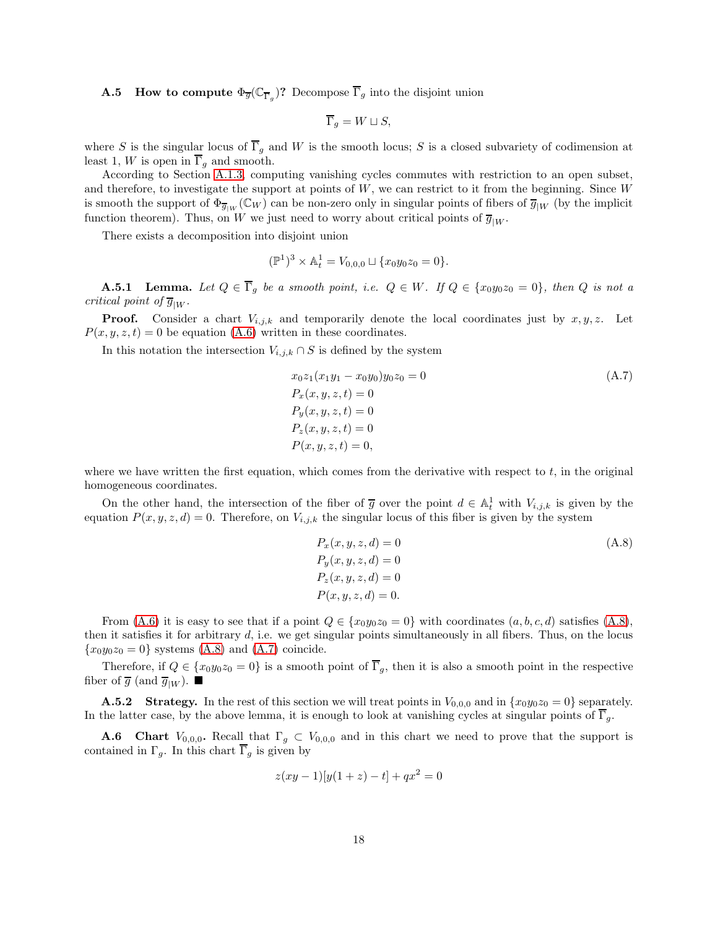**A.5** How to compute  $\Phi_{\overline{g}}(\mathbb{C}_{\overline{\Gamma}_g})$ ? Decompose  $\overline{\Gamma}_g$  into the disjoint union

$$
\overline{\Gamma}_g = W \sqcup S,
$$

where S is the singular locus of  $\overline{\Gamma}_g$  and W is the smooth locus; S is a closed subvariety of codimension at least 1, W is open in  $\overline{\Gamma}_q$  and smooth.

According to Section [A.1.3,](#page-14-0) computing vanishing cycles commutes with restriction to an open subset, and therefore, to investigate the support at points of  $W$ , we can restrict to it from the beginning. Since  $W$ is smooth the support of  $\Phi_{\overline{g}_{|W}}(\mathbb{C}_W)$  can be non-zero only in singular points of fibers of  $\overline{g}_{|W}$  (by the implicit function theorem). Thus, on W we just need to worry about critical points of  $\overline{g}_{|W}$ .

There exists a decomposition into disjoint union

$$
(\mathbb{P}^1)^3 \times \mathbb{A}_t^1 = V_{0,0,0} \sqcup \{x_0y_0z_0 = 0\}.
$$

**A.5.1** Lemma. Let  $Q \in \overline{\Gamma}_g$  be a smooth point, i.e.  $Q \in W$ . If  $Q \in \{x_0y_0z_0 = 0\}$ , then Q is not a critical point of  $\overline{g}_{|W}$ .

**Proof.** Consider a chart  $V_{i,j,k}$  and temporarily denote the local coordinates just by  $x, y, z$ . Let  $P(x, y, z, t) = 0$  be equation [\(A.6\)](#page-16-0) written in these coordinates.

In this notation the intersection  $V_{i,j,k} \cap S$  is defined by the system

<span id="page-17-1"></span>
$$
x_0 z_1(x_1 y_1 - x_0 y_0) y_0 z_0 = 0
$$
  
\n
$$
P_x(x, y, z, t) = 0
$$
  
\n
$$
P_y(x, y, z, t) = 0
$$
  
\n
$$
P_z(x, y, z, t) = 0
$$
  
\n
$$
P(x, y, z, t) = 0,
$$
  
\n(A.7)

where we have written the first equation, which comes from the derivative with respect to  $t$ , in the original homogeneous coordinates.

On the other hand, the intersection of the fiber of  $\overline{g}$  over the point  $d \in \mathbb{A}^1_t$  with  $V_{i,j,k}$  is given by the equation  $P(x, y, z, d) = 0$ . Therefore, on  $V_{i,j,k}$  the singular locus of this fiber is given by the system

<span id="page-17-0"></span>
$$
P_x(x, y, z, d) = 0
$$
  
\n
$$
P_y(x, y, z, d) = 0
$$
  
\n
$$
P_z(x, y, z, d) = 0
$$
  
\n
$$
P(x, y, z, d) = 0.
$$
  
\n(A.8)

From [\(A.6\)](#page-16-0) it is easy to see that if a point  $Q \in \{x_0y_0z_0 = 0\}$  with coordinates  $(a, b, c, d)$  satisfies [\(A.8\)](#page-17-0), then it satisfies it for arbitrary  $d$ , i.e. we get singular points simultaneously in all fibers. Thus, on the locus  ${x_0y_0z_0 = 0}$  systems [\(A.8\)](#page-17-0) and [\(A.7\)](#page-17-1) coincide.

Therefore, if  $Q \in \{x_0y_0z_0=0\}$  is a smooth point of  $\overline{\Gamma}_g$ , then it is also a smooth point in the respective fiber of  $\overline{g}$  (and  $\overline{g}_{|W}$ ).

**A.5.2** Strategy. In the rest of this section we will treat points in  $V_{0,0,0}$  and in  $\{x_0y_0z_0 = 0\}$  separately. In the latter case, by the above lemma, it is enough to look at vanishing cycles at singular points of  $\Gamma_q$ .

**A.6** Chart  $V_{0,0,0}$ . Recall that  $\Gamma_g \subset V_{0,0,0}$  and in this chart we need to prove that the support is contained in  $\Gamma_q$ . In this chart  $\Gamma_q$  is given by

$$
z(xy - 1)[y(1 + z) - t] + qx^2 = 0
$$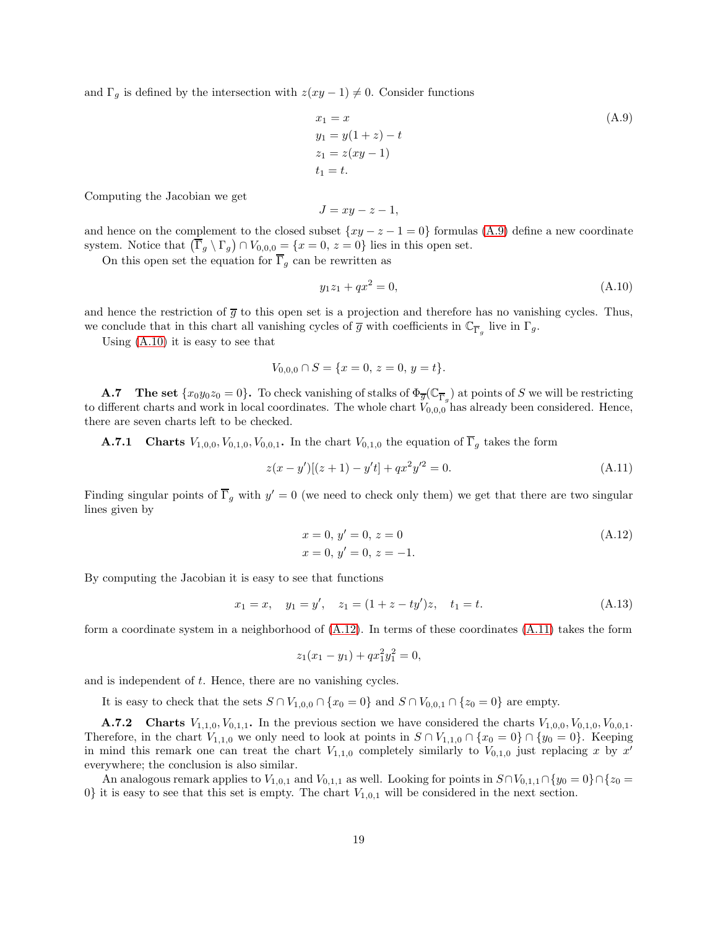and  $\Gamma_g$  is defined by the intersection with  $z(xy - 1) \neq 0$ . Consider functions

<span id="page-18-0"></span>
$$
x_1 = x \n y_1 = y(1+z) - t \n z_1 = z(xy - 1) \n t_1 = t.
$$
\n(A.9)

Computing the Jacobian we get

$$
J = xy - z - 1,
$$

and hence on the complement to the closed subset  $\{xy - z - 1 = 0\}$  formulas [\(A.9\)](#page-18-0) define a new coordinate system. Notice that  $(\overline{\Gamma}_g \setminus \Gamma_g) \cap V_{0,0,0} = \{x = 0, z = 0\}$  lies in this open set.

On this open set the equation for  $\overline{\Gamma}_q$  can be rewritten as

<span id="page-18-1"></span>
$$
y_1 z_1 + q x^2 = 0,\tag{A.10}
$$

and hence the restriction of  $\overline{g}$  to this open set is a projection and therefore has no vanishing cycles. Thus, we conclude that in this chart all vanishing cycles of  $\overline{g}$  with coefficients in  $\mathbb{C}_{\overline{\Gamma}_g}$  live in  $\Gamma_g$ .

Using  $(A.10)$  it is easy to see that

$$
V_{0,0,0} \cap S = \{x = 0, z = 0, y = t\}.
$$

**A.7** The set  $\{x_0y_0z_0=0\}$ . To check vanishing of stalks of  $\Phi_{\overline{g}}(\mathbb{C}_{\overline{\Gamma}_g})$  at points of S we will be restricting to different charts and work in local coordinates. The whole chart  $V_{0,0,0}$  has already been considered. Hence, there are seven charts left to be checked.

**A.7.1** Charts  $V_{1,0,0}, V_{0,1,0}, V_{0,0,1}$ . In the chart  $V_{0,1,0}$  the equation of  $\overline{\Gamma}_g$  takes the form

$$
z(x - y')[(z + 1) - y't] + qx^2y'^2 = 0.
$$
\n(A.11)

Finding singular points of  $\overline{\Gamma}_g$  with  $y' = 0$  (we need to check only them) we get that there are two singular lines given by

<span id="page-18-3"></span><span id="page-18-2"></span>
$$
x = 0, y' = 0, z = 0
$$
  
\n
$$
x = 0, y' = 0, z = -1.
$$
\n(A.12)

By computing the Jacobian it is easy to see that functions

$$
x_1 = x, \quad y_1 = y', \quad z_1 = (1 + z - ty')z, \quad t_1 = t.
$$
\n(A.13)

form a coordinate system in a neighborhood of  $(A.12)$ . In terms of these coordinates  $(A.11)$  takes the form

$$
z_1(x_1 - y_1) + qx_1^2 y_1^2 = 0,
$$

and is independent of t. Hence, there are no vanishing cycles.

It is easy to check that the sets  $S \cap V_{1,0,0} \cap \{x_0 = 0\}$  and  $S \cap V_{0,0,1} \cap \{z_0 = 0\}$  are empty.

**A.7.2** Charts  $V_{1,1,0}, V_{0,1,1}$ . In the previous section we have considered the charts  $V_{1,0,0}, V_{0,1,0}, V_{0,0,1}$ . Therefore, in the chart  $V_{1,1,0}$  we only need to look at points in  $S \cap V_{1,1,0} \cap \{x_0 = 0\} \cap \{y_0 = 0\}$ . Keeping in mind this remark one can treat the chart  $V_{1,1,0}$  completely similarly to  $V_{0,1,0}$  just replacing x by x' everywhere; the conclusion is also similar.

An analogous remark applies to  $V_{1,0,1}$  and  $V_{0,1,1}$  as well. Looking for points in  $S \cap V_{0,1,1} \cap \{y_0 = 0\} \cap \{z_0 = 0\}$  $0\}$  it is easy to see that this set is empty. The chart  $V_{1,0,1}$  will be considered in the next section.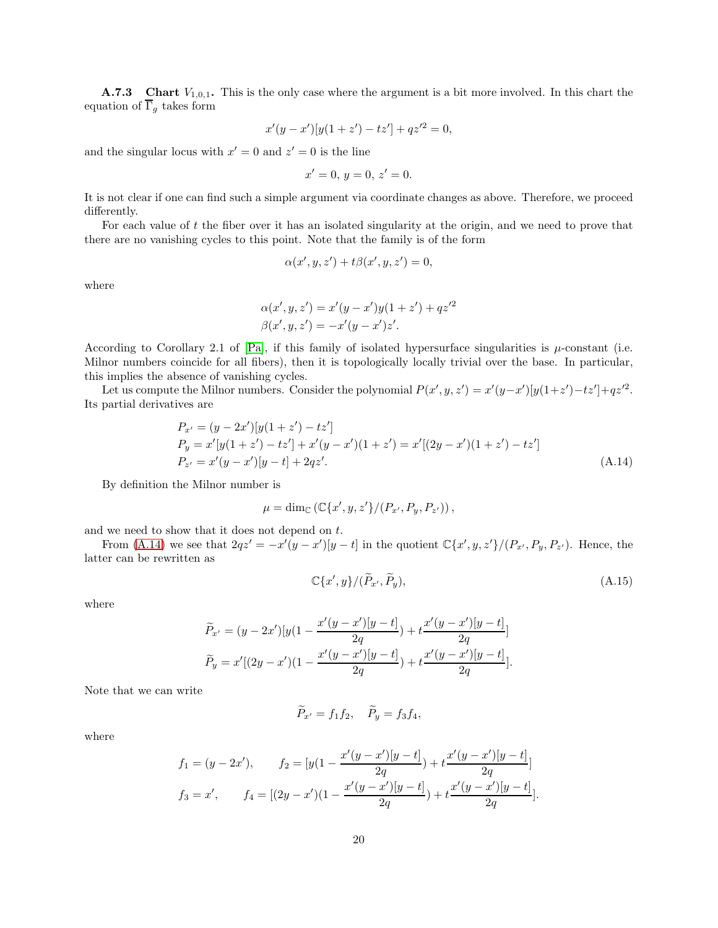**A.7.3** Chart  $V_{1,0,1}$ . This is the only case where the argument is a bit more involved. In this chart the equation of  $\overline{\Gamma}_q$  takes form

$$
x'(y - x')[y(1 + z') - tz'] + qz'^2 = 0,
$$

and the singular locus with  $x' = 0$  and  $z' = 0$  is the line

$$
x'=0, y=0, z'=0.
$$

It is not clear if one can find such a simple argument via coordinate changes as above. Therefore, we proceed differently.

For each value of t the fiber over it has an isolated singularity at the origin, and we need to prove that there are no vanishing cycles to this point. Note that the family is of the form

$$
\alpha(x', y, z') + t\beta(x', y, z') = 0,
$$

where

$$
\alpha(x', y, z') = x'(y - x')y(1 + z') + qz'^2
$$
  

$$
\beta(x', y, z') = -x'(y - x')z'.
$$

According to Corollary 2.1 of [\[Pa\]](#page-21-18), if this family of isolated hypersurface singularities is  $\mu$ -constant (i.e. Milnor numbers coincide for all fibers), then it is topologically locally trivial over the base. In particular, this implies the absence of vanishing cycles.

Let us compute the Milnor numbers. Consider the polynomial  $P(x', y, z') = x'(y-x')[y(1+z')-tz']+qz'^2$ . Its partial derivatives are

$$
P_{x'} = (y - 2x')[y(1 + z') - tz']
$$
  
\n
$$
P_y = x'[y(1 + z') - tz'] + x'(y - x')(1 + z') = x'[(2y - x')(1 + z') - tz']
$$
  
\n
$$
P_{z'} = x'(y - x')[y - t] + 2qz'.
$$
\n(A.14)

By definition the Milnor number is

$$
\mu = \dim_{\mathbb{C}} (\mathbb{C}\{x', y, z'\}/(P_{x'}, P_{y}, P_{z'})),
$$

and we need to show that it does not depend on t.

From [\(A.14\)](#page-19-0) we see that  $2qz' = -x'(y-x')[y-t]$  in the quotient  $\mathbb{C}\{x',y,z'\}/(P_{x'},P_{y},P_{z'})$ . Hence, the latter can be rewritten as

<span id="page-19-1"></span><span id="page-19-0"></span>
$$
\mathbb{C}\{x',y\}/(\tilde{P}_{x'},\tilde{P}_y),\tag{A.15}
$$

where

$$
\widetilde{P}_{x'} = (y - 2x')[y(1 - \frac{x'(y - x')[y - t]}{2q}) + t\frac{x'(y - x')[y - t]}{2q}] \n\widetilde{P}_y = x'[(2y - x')(1 - \frac{x'(y - x')[y - t]}{2q}) + t\frac{x'(y - x')[y - t]}{2q}].
$$

Note that we can write

$$
\widetilde{P}_{x'} = f_1 f_2, \quad \widetilde{P}_y = f_3 f_4,
$$

where

$$
f_1 = (y - 2x'), \qquad f_2 = [y(1 - \frac{x'(y - x')[y - t]}{2q}) + t\frac{x'(y - x')[y - t]}{2q}]
$$
  

$$
f_3 = x', \qquad f_4 = [(2y - x')(1 - \frac{x'(y - x')[y - t]}{2q}) + t\frac{x'(y - x')[y - t]}{2q}].
$$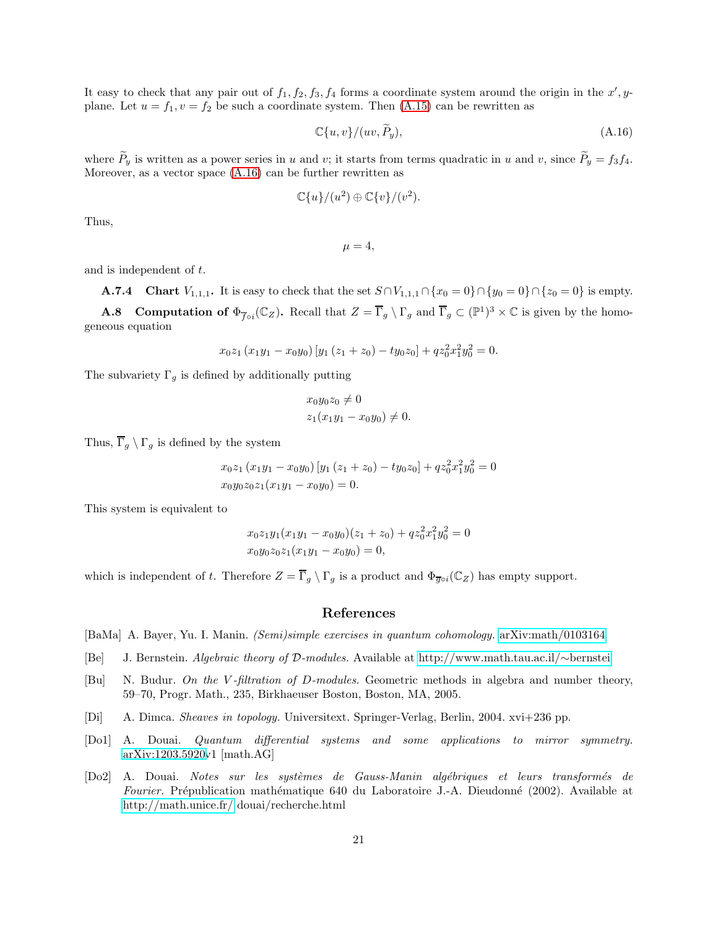It easy to check that any pair out of  $f_1, f_2, f_3, f_4$  forms a coordinate system around the origin in the  $x', y$ plane. Let  $u = f_1, v = f_2$  be such a coordinate system. Then [\(A.15\)](#page-19-1) can be rewritten as

<span id="page-20-6"></span>
$$
\mathbb{C}\{u,v\}/(uv,P_y),\tag{A.16}
$$

where  $P_y$  is written as a power series in u and v; it starts from terms quadratic in u and v, since  $P_y = f_3 f_4$ . Moreover, as a vector space [\(A.16\)](#page-20-6) can be further rewritten as

$$
\mathbb{C}\{u\}/(u^2)\oplus \mathbb{C}\{v\}/(v^2).
$$

Thus,

 $\mu = 4$ ,

and is independent of t.

**A.7.4** Chart  $V_{1,1,1}$ . It is easy to check that the set  $S \cap V_{1,1,1} \cap \{x_0 = 0\} \cap \{y_0 = 0\} \cap \{z_0 = 0\}$  is empty.

**A.8** Computation of  $\Phi_{\overline{f} \circ i}(\mathbb{C}_Z)$ . Recall that  $Z = \overline{\Gamma}_g \setminus \Gamma_g$  and  $\overline{\Gamma}_g \subset (\mathbb{P}^1)^3 \times \mathbb{C}$  is given by the homogeneous equation

$$
x_0z_1 (x_1y_1 - x_0y_0) [y_1 (z_1 + z_0) - ty_0z_0] + qz_0^2x_1^2y_0^2 = 0.
$$

The subvariety  $\Gamma_g$  is defined by additionally putting

$$
x_0 y_0 z_0 \neq 0
$$
  

$$
z_1 (x_1 y_1 - x_0 y_0) \neq 0.
$$

Thus,  $\overline{\Gamma}_g \setminus \Gamma_g$  is defined by the system

$$
x_0z_1 (x_1y_1 - x_0y_0) [y_1 (z_1 + z_0) - ty_0z_0] + qz_0^2x_1^2y_0^2 = 0
$$
  

$$
x_0y_0z_0z_1(x_1y_1 - x_0y_0) = 0.
$$

This system is equivalent to

$$
x_0z_1y_1(x_1y_1 - x_0y_0)(z_1 + z_0) + qz_0^2x_1^2y_0^2 = 0
$$
  

$$
x_0y_0z_0z_1(x_1y_1 - x_0y_0) = 0,
$$

which is independent of t. Therefore  $Z = \overline{\Gamma}_g \setminus \Gamma_g$  is a product and  $\Phi_{\overline{g} \circ i}(\mathbb{C}_Z)$  has empty support.

#### References

<span id="page-20-3"></span>[BaMa] A. Bayer, Yu. I. Manin. (Semi)simple exercises in quantum cohomology. [arXiv:math/0103164](http://arxiv.org/abs/math/0103164)

- <span id="page-20-4"></span>[Be] J. Bernstein. Algebraic theory of D-modules. Available at [http://www.math.tau.ac.il/](http://www.math.tau.ac.il/~bernstei)∼bernstei
- <span id="page-20-2"></span>[Bu] N. Budur. On the V-filtration of D-modules. Geometric methods in algebra and number theory, 59–70, Progr. Math., 235, Birkhaeuser Boston, Boston, MA, 2005.
- <span id="page-20-5"></span>[Di] A. Dimca. Sheaves in topology. Universitext. Springer-Verlag, Berlin, 2004. xvi+236 pp.
- <span id="page-20-0"></span>[Do1] A. Douai. Quantum differential systems and some applications to mirror symmetry. [arXiv:1203.5920v](http://arxiv.org/abs/1203.5920)1 [math.AG]
- <span id="page-20-1"></span>[Do2] A. Douai. Notes sur les syst`emes de Gauss-Manin alg´ebriques et leurs transform´es de Fourier. Prépublication mathématique 640 du Laboratoire J.-A. Dieudonné (2002). Available at <http://math.unice.fr/> douai/recherche.html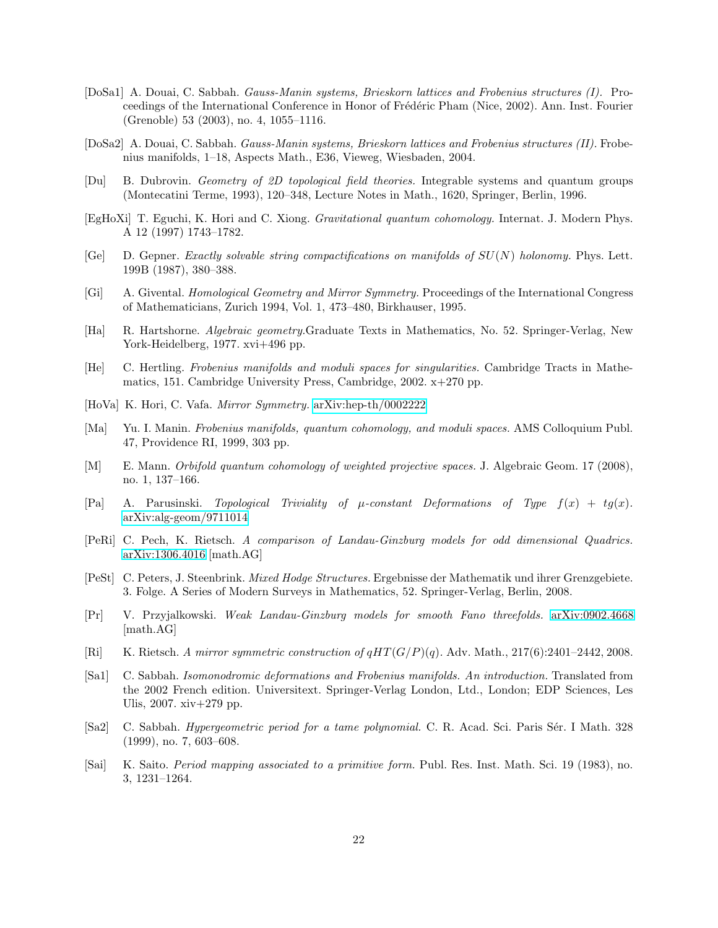- <span id="page-21-5"></span>[DoSa1] A. Douai, C. Sabbah. Gauss-Manin systems, Brieskorn lattices and Frobenius structures (I). Proceedings of the International Conference in Honor of Frédéric Pham (Nice, 2002). Ann. Inst. Fourier (Grenoble) 53 (2003), no. 4, 1055–1116.
- <span id="page-21-6"></span>[DoSa2] A. Douai, C. Sabbah. Gauss-Manin systems, Brieskorn lattices and Frobenius structures (II). Frobenius manifolds, 1–18, Aspects Math., E36, Vieweg, Wiesbaden, 2004.
- <span id="page-21-16"></span>[Du] B. Dubrovin. Geometry of 2D topological field theories. Integrable systems and quantum groups (Montecatini Terme, 1993), 120–348, Lecture Notes in Math., 1620, Springer, Berlin, 1996.
- <span id="page-21-1"></span>[EgHoXi] T. Eguchi, K. Hori and C. Xiong. Gravitational quantum cohomology. Internat. J. Modern Phys. A 12 (1997) 1743–1782.
- <span id="page-21-0"></span>[Ge] D. Gepner. Exactly solvable string compactifications on manifolds of  $SU(N)$  holonomy. Phys. Lett. 199B (1987), 380–388.
- <span id="page-21-2"></span>[Gi] A. Givental. Homological Geometry and Mirror Symmetry. Proceedings of the International Congress of Mathematicians, Zurich 1994, Vol. 1, 473–480, Birkhauser, 1995.
- <span id="page-21-17"></span>[Ha] R. Hartshorne. Algebraic geometry.Graduate Texts in Mathematics, No. 52. Springer-Verlag, New York-Heidelberg, 1977. xvi+496 pp.
- <span id="page-21-12"></span>[He] C. Hertling. Frobenius manifolds and moduli spaces for singularities. Cambridge Tracts in Mathematics, 151. Cambridge University Press, Cambridge, 2002. x+270 pp.
- <span id="page-21-8"></span>[HoVa] K. Hori, C. Vafa. Mirror Symmetry. [arXiv:hep-th/0002222](http://arxiv.org/abs/hep-th/0002222)
- <span id="page-21-4"></span>[Ma] Yu. I. Manin. Frobenius manifolds, quantum cohomology, and moduli spaces. AMS Colloquium Publ. 47, Providence RI, 1999, 303 pp.
- <span id="page-21-7"></span>[M] E. Mann. Orbifold quantum cohomology of weighted projective spaces. J. Algebraic Geom. 17 (2008), no. 1, 137–166.
- <span id="page-21-18"></span>[Pa] A. Parusinski. Topological Triviality of  $\mu$ -constant Deformations of Type  $f(x) + tg(x)$ . [arXiv:alg-geom/9711014](http://arxiv.org/abs/alg-geom/9711014)
- <span id="page-21-10"></span>[PeRi] C. Pech, K. Rietsch. A comparison of Landau-Ginzburg models for odd dimensional Quadrics. [arXiv:1306.4016](http://arxiv.org/abs/1306.4016) [math.AG]
- <span id="page-21-15"></span>[PeSt] C. Peters, J. Steenbrink. Mixed Hodge Structures. Ergebnisse der Mathematik und ihrer Grenzgebiete. 3. Folge. A Series of Modern Surveys in Mathematics, 52. Springer-Verlag, Berlin, 2008.
- <span id="page-21-9"></span>[Pr] V. Przyjalkowski. Weak Landau-Ginzburg models for smooth Fano threefolds. [arXiv:0902.4668](http://arxiv.org/abs/0902.4668) [math.AG]
- <span id="page-21-11"></span>[Ri] K. Rietsch. A mirror symmetric construction of  $qHT(G/P)(q)$ . Adv. Math., 217(6):2401–2442, 2008.
- <span id="page-21-14"></span>[Sa1] C. Sabbah. Isomonodromic deformations and Frobenius manifolds. An introduction. Translated from the 2002 French edition. Universitext. Springer-Verlag London, Ltd., London; EDP Sciences, Les Ulis, 2007. xiv+279 pp.
- <span id="page-21-13"></span>[Sa2] C. Sabbah. Hypergeometric period for a tame polynomial. C. R. Acad. Sci. Paris Sér. I Math. 328 (1999), no. 7, 603–608.
- <span id="page-21-3"></span>[Sai] K. Saito. Period mapping associated to a primitive form. Publ. Res. Inst. Math. Sci. 19 (1983), no. 3, 1231–1264.